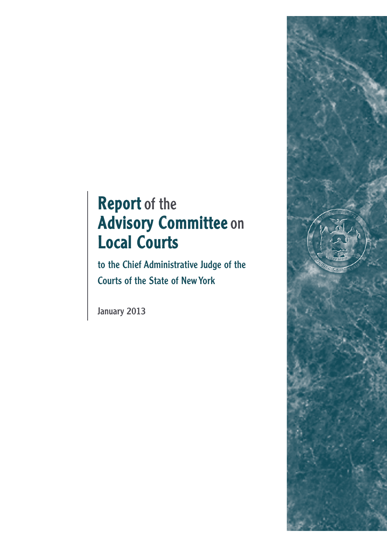# Report of the Advisory Committee on Local Courts

to the Chief Administrative Judge of the Courts of the State of New York

January 2013

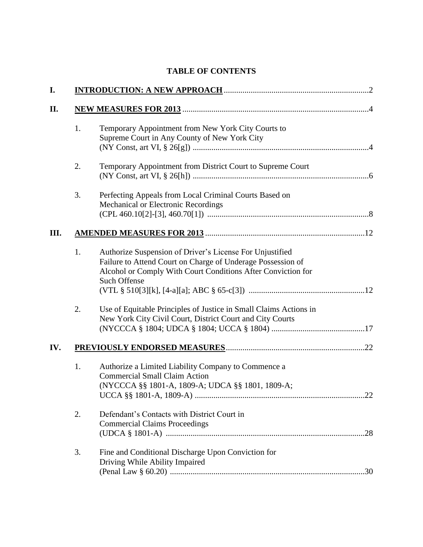## **TABLE OF CONTENTS**

| I.   |    |                                                                                                                                                                                                                |  |
|------|----|----------------------------------------------------------------------------------------------------------------------------------------------------------------------------------------------------------------|--|
| II.  |    |                                                                                                                                                                                                                |  |
|      | 1. | Temporary Appointment from New York City Courts to<br>Supreme Court in Any County of New York City                                                                                                             |  |
|      | 2. | Temporary Appointment from District Court to Supreme Court                                                                                                                                                     |  |
|      | 3. | Perfecting Appeals from Local Criminal Courts Based on<br>Mechanical or Electronic Recordings                                                                                                                  |  |
| III. |    |                                                                                                                                                                                                                |  |
|      | 1. | Authorize Suspension of Driver's License For Unjustified<br>Failure to Attend Court on Charge of Underage Possession of<br>Alcohol or Comply With Court Conditions After Conviction for<br><b>Such Offense</b> |  |
|      | 2. | Use of Equitable Principles of Justice in Small Claims Actions in<br>New York City Civil Court, District Court and City Courts                                                                                 |  |
| IV.  |    |                                                                                                                                                                                                                |  |
|      | 1. | Authorize a Limited Liability Company to Commence a<br><b>Commercial Small Claim Action</b><br>(NYCCCA §§ 1801-A, 1809-A; UDCA §§ 1801, 1809-A;                                                                |  |
|      | 2. | Defendant's Contacts with District Court in<br><b>Commercial Claims Proceedings</b>                                                                                                                            |  |
|      | 3. | Fine and Conditional Discharge Upon Conviction for<br>Driving While Ability Impaired                                                                                                                           |  |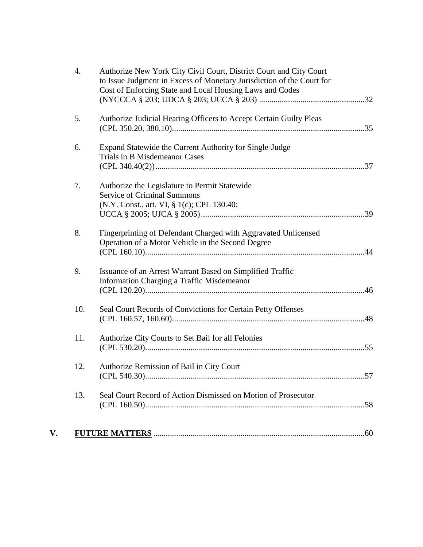|    | 4.  | Authorize New York City Civil Court, District Court and City Court<br>to Issue Judgment in Excess of Monetary Jurisdiction of the Court for<br>Cost of Enforcing State and Local Housing Laws and Codes |  |
|----|-----|---------------------------------------------------------------------------------------------------------------------------------------------------------------------------------------------------------|--|
|    | 5.  | Authorize Judicial Hearing Officers to Accept Certain Guilty Pleas                                                                                                                                      |  |
|    | 6.  | Expand Statewide the Current Authority for Single-Judge<br>Trials in B Misdemeanor Cases                                                                                                                |  |
|    | 7.  | Authorize the Legislature to Permit Statewide<br><b>Service of Criminal Summons</b><br>(N.Y. Const., art. VI, § 1(c); CPL 130.40;                                                                       |  |
|    | 8.  | Fingerprinting of Defendant Charged with Aggravated Unlicensed<br>Operation of a Motor Vehicle in the Second Degree                                                                                     |  |
|    | 9.  | Issuance of an Arrest Warrant Based on Simplified Traffic<br><b>Information Charging a Traffic Misdemeanor</b>                                                                                          |  |
|    | 10. | Seal Court Records of Convictions for Certain Petty Offenses                                                                                                                                            |  |
|    | 11. | Authorize City Courts to Set Bail for all Felonies                                                                                                                                                      |  |
|    | 12. | Authorize Remission of Bail in City Court                                                                                                                                                               |  |
|    | 13. | Seal Court Record of Action Dismissed on Motion of Prosecutor                                                                                                                                           |  |
| V. |     |                                                                                                                                                                                                         |  |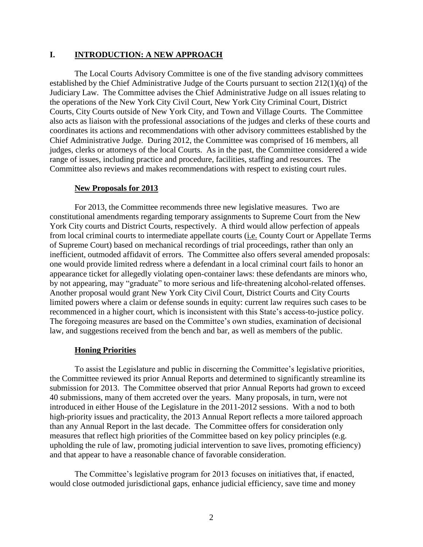## **I. INTRODUCTION: A NEW APPROACH**

The Local Courts Advisory Committee is one of the five standing advisory committees established by the Chief Administrative Judge of the Courts pursuant to section 212(1)(q) of the Judiciary Law. The Committee advises the Chief Administrative Judge on all issues relating to the operations of the New York City Civil Court, New York City Criminal Court, District Courts, City Courts outside of New York City, and Town and Village Courts. The Committee also acts as liaison with the professional associations of the judges and clerks of these courts and coordinates its actions and recommendations with other advisory committees established by the Chief Administrative Judge. During 2012, the Committee was comprised of 16 members, all judges, clerks or attorneys of the local Courts. As in the past, the Committee considered a wide range of issues, including practice and procedure, facilities, staffing and resources. The Committee also reviews and makes recommendations with respect to existing court rules.

#### **New Proposals for 2013**

For 2013, the Committee recommends three new legislative measures. Two are constitutional amendments regarding temporary assignments to Supreme Court from the New York City courts and District Courts, respectively. A third would allow perfection of appeals from local criminal courts to intermediate appellate courts (*i.e.* County Court or Appellate Terms of Supreme Court) based on mechanical recordings of trial proceedings, rather than only an inefficient, outmoded affidavit of errors. The Committee also offers several amended proposals: one would provide limited redress where a defendant in a local criminal court fails to honor an appearance ticket for allegedly violating open-container laws: these defendants are minors who, by not appearing, may "graduate" to more serious and life-threatening alcohol-related offenses. Another proposal would grant New York City Civil Court, District Courts and City Courts limited powers where a claim or defense sounds in equity: current law requires such cases to be recommenced in a higher court, which is inconsistent with this State's access-to-justice policy. The foregoing measures are based on the Committee's own studies, examination of decisional law, and suggestions received from the bench and bar, as well as members of the public.

### **Honing Priorities**

To assist the Legislature and public in discerning the Committee's legislative priorities, the Committee reviewed its prior Annual Reports and determined to significantly streamline its submission for 2013. The Committee observed that prior Annual Reports had grown to exceed 40 submissions, many of them accreted over the years. Many proposals, in turn, were not introduced in either House of the Legislature in the 2011-2012 sessions. With a nod to both high-priority issues and practicality, the 2013 Annual Report reflects a more tailored approach than any Annual Report in the last decade. The Committee offers for consideration only measures that reflect high priorities of the Committee based on key policy principles (e.g. upholding the rule of law, promoting judicial intervention to save lives, promoting efficiency) and that appear to have a reasonable chance of favorable consideration.

The Committee's legislative program for 2013 focuses on initiatives that, if enacted, would close outmoded jurisdictional gaps, enhance judicial efficiency, save time and money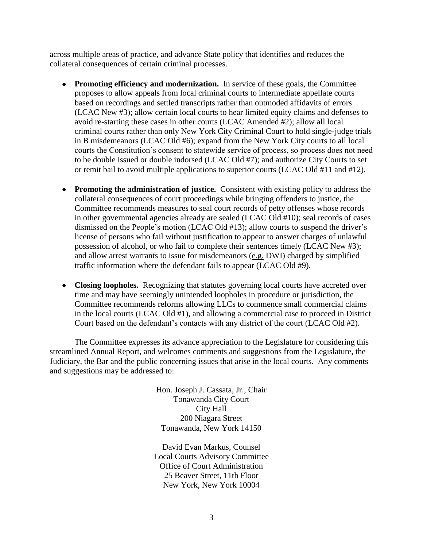across multiple areas of practice, and advance State policy that identifies and reduces the collateral consequences of certain criminal processes.

- **Promoting efficiency and modernization.** In service of these goals, the Committee proposes to allow appeals from local criminal courts to intermediate appellate courts based on recordings and settled transcripts rather than outmoded affidavits of errors (LCAC New #3); allow certain local courts to hear limited equity claims and defenses to avoid re-starting these cases in other courts (LCAC Amended #2); allow all local criminal courts rather than only New York City Criminal Court to hold single-judge trials in B misdemeanors (LCAC Old #6); expand from the New York City courts to all local courts the Constitution's consent to statewide service of process, so process does not need to be double issued or double indorsed (LCAC Old #7); and authorize City Courts to set or remit bail to avoid multiple applications to superior courts (LCAC Old #11 and #12).
- **Promoting the administration of justice.** Consistent with existing policy to address the collateral consequences of court proceedings while bringing offenders to justice, the Committee recommends measures to seal court records of petty offenses whose records in other governmental agencies already are sealed (LCAC Old #10); seal records of cases dismissed on the People's motion (LCAC Old #13); allow courts to suspend the driver's license of persons who fail without justification to appear to answer charges of unlawful possession of alcohol, or who fail to complete their sentences timely (LCAC New #3); and allow arrest warrants to issue for misdemeanors (e.g. DWI) charged by simplified traffic information where the defendant fails to appear (LCAC Old #9).
- Closing loopholes. Recognizing that statutes governing local courts have accreted over time and may have seemingly unintended loopholes in procedure or jurisdiction, the Committee recommends reforms allowing LLCs to commence small commercial claims in the local courts (LCAC Old #1), and allowing a commercial case to proceed in District Court based on the defendant's contacts with any district of the court (LCAC Old #2).

The Committee expresses its advance appreciation to the Legislature for considering this streamlined Annual Report, and welcomes comments and suggestions from the Legislature, the Judiciary, the Bar and the public concerning issues that arise in the local courts. Any comments and suggestions may be addressed to:

> Hon. Joseph J. Cassata, Jr., Chair Tonawanda City Court City Hall 200 Niagara Street Tonawanda, New York 14150

David Evan Markus, Counsel Local Courts Advisory Committee Office of Court Administration 25 Beaver Street, 11th Floor New York, New York 10004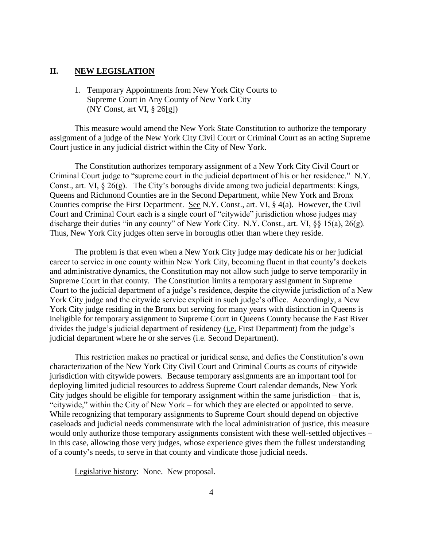#### **II. NEW LEGISLATION**

1. Temporary Appointments from New York City Courts to Supreme Court in Any County of New York City (NY Const, art VI, § 26[g])

This measure would amend the New York State Constitution to authorize the temporary assignment of a judge of the New York City Civil Court or Criminal Court as an acting Supreme Court justice in any judicial district within the City of New York.

The Constitution authorizes temporary assignment of a New York City Civil Court or Criminal Court judge to "supreme court in the judicial department of his or her residence." N.Y. Const., art. VI, § 26(g). The City's boroughs divide among two judicial departments: Kings, Queens and Richmond Counties are in the Second Department, while New York and Bronx Counties comprise the First Department. See N.Y. Const., art. VI, § 4(a). However, the Civil Court and Criminal Court each is a single court of "citywide" jurisdiction whose judges may discharge their duties "in any county" of New York City. N.Y. Const., art. VI, §§ 15(a), 26(g). Thus, New York City judges often serve in boroughs other than where they reside.

The problem is that even when a New York City judge may dedicate his or her judicial career to service in one county within New York City, becoming fluent in that county's dockets and administrative dynamics, the Constitution may not allow such judge to serve temporarily in Supreme Court in that county. The Constitution limits a temporary assignment in Supreme Court to the judicial department of a judge's residence, despite the citywide jurisdiction of a New York City judge and the citywide service explicit in such judge's office. Accordingly, a New York City judge residing in the Bronx but serving for many years with distinction in Queens is ineligible for temporary assignment to Supreme Court in Queens County because the East River divides the judge's judicial department of residency (i.e. First Department) from the judge's judicial department where he or she serves (*i.e.* Second Department).

This restriction makes no practical or juridical sense, and defies the Constitution's own characterization of the New York City Civil Court and Criminal Courts as courts of citywide jurisdiction with citywide powers. Because temporary assignments are an important tool for deploying limited judicial resources to address Supreme Court calendar demands, New York City judges should be eligible for temporary assignment within the same jurisdiction – that is, "citywide," within the City of New York – for which they are elected or appointed to serve. While recognizing that temporary assignments to Supreme Court should depend on objective caseloads and judicial needs commensurate with the local administration of justice, this measure would only authorize those temporary assignments consistent with these well-settled objectives – in this case, allowing those very judges, whose experience gives them the fullest understanding of a county's needs, to serve in that county and vindicate those judicial needs.

Legislative history: None. New proposal.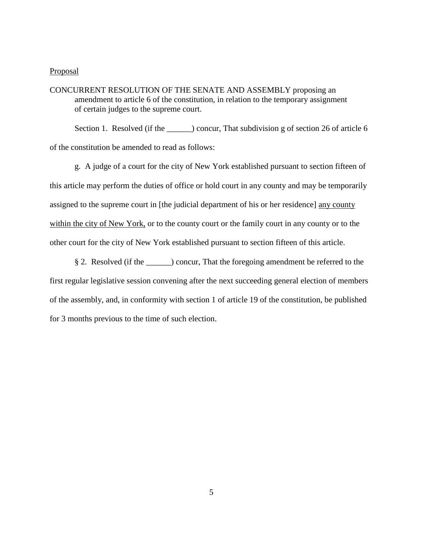#### Proposal

CONCURRENT RESOLUTION OF THE SENATE AND ASSEMBLY proposing an amendment to article 6 of the constitution, in relation to the temporary assignment of certain judges to the supreme court.

Section 1. Resolved (if the \_\_\_\_\_\_) concur, That subdivision g of section 26 of article 6 of the constitution be amended to read as follows:

g. A judge of a court for the city of New York established pursuant to section fifteen of this article may perform the duties of office or hold court in any county and may be temporarily assigned to the supreme court in [the judicial department of his or her residence] any county within the city of New York, or to the county court or the family court in any county or to the other court for the city of New York established pursuant to section fifteen of this article.

§ 2. Resolved (if the \_\_\_\_\_\_) concur, That the foregoing amendment be referred to the first regular legislative session convening after the next succeeding general election of members of the assembly, and, in conformity with section 1 of article 19 of the constitution, be published for 3 months previous to the time of such election.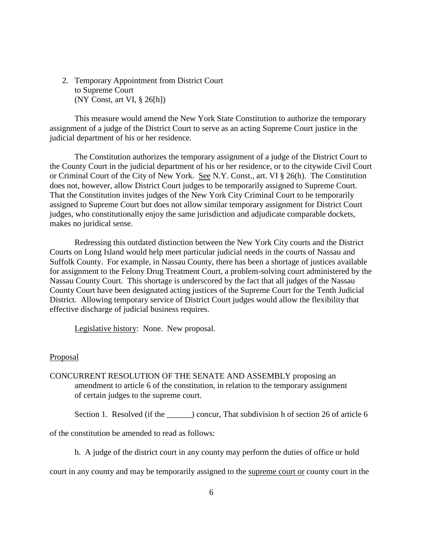2. Temporary Appointment from District Court to Supreme Court (NY Const, art VI, § 26[h])

This measure would amend the New York State Constitution to authorize the temporary assignment of a judge of the District Court to serve as an acting Supreme Court justice in the judicial department of his or her residence.

The Constitution authorizes the temporary assignment of a judge of the District Court to the County Court in the judicial department of his or her residence, or to the citywide Civil Court or Criminal Court of the City of New York. See N.Y. Const., art. VI § 26(h). The Constitution does not, however, allow District Court judges to be temporarily assigned to Supreme Court. That the Constitution invites judges of the New York City Criminal Court to be temporarily assigned to Supreme Court but does not allow similar temporary assignment for District Court judges, who constitutionally enjoy the same jurisdiction and adjudicate comparable dockets, makes no juridical sense.

Redressing this outdated distinction between the New York City courts and the District Courts on Long Island would help meet particular judicial needs in the courts of Nassau and Suffolk County. For example, in Nassau County, there has been a shortage of justices available for assignment to the Felony Drug Treatment Court, a problem-solving court administered by the Nassau County Court. This shortage is underscored by the fact that all judges of the Nassau County Court have been designated acting justices of the Supreme Court for the Tenth Judicial District. Allowing temporary service of District Court judges would allow the flexibility that effective discharge of judicial business requires.

Legislative history: None. New proposal.

#### Proposal

CONCURRENT RESOLUTION OF THE SENATE AND ASSEMBLY proposing an amendment to article 6 of the constitution, in relation to the temporary assignment of certain judges to the supreme court.

Section 1. Resolved (if the ) concur, That subdivision h of section 26 of article 6

of the constitution be amended to read as follows:

h. A judge of the district court in any county may perform the duties of office or hold

court in any county and may be temporarily assigned to the supreme court or county court in the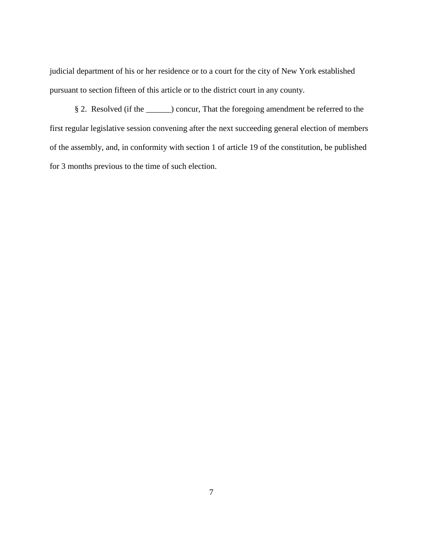judicial department of his or her residence or to a court for the city of New York established pursuant to section fifteen of this article or to the district court in any county.

§ 2. Resolved (if the \_\_\_\_\_\_) concur, That the foregoing amendment be referred to the first regular legislative session convening after the next succeeding general election of members of the assembly, and, in conformity with section 1 of article 19 of the constitution, be published for 3 months previous to the time of such election.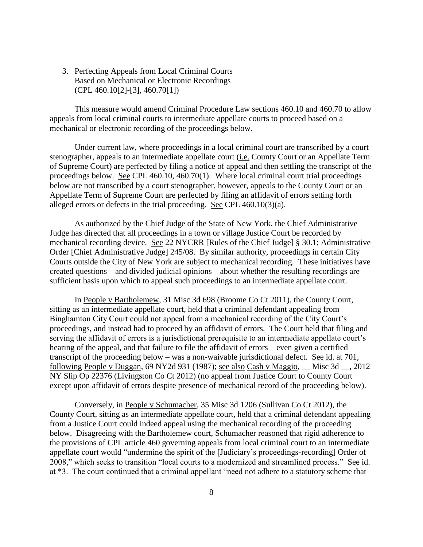3. Perfecting Appeals from Local Criminal Courts Based on Mechanical or Electronic Recordings (CPL 460.10[2]-[3], 460.70[1])

This measure would amend Criminal Procedure Law sections 460.10 and 460.70 to allow appeals from local criminal courts to intermediate appellate courts to proceed based on a mechanical or electronic recording of the proceedings below.

Under current law, where proceedings in a local criminal court are transcribed by a court stenographer, appeals to an intermediate appellate court (i.e. County Court or an Appellate Term of Supreme Court) are perfected by filing a notice of appeal and then settling the transcript of the proceedings below. See CPL 460.10, 460.70(1). Where local criminal court trial proceedings below are not transcribed by a court stenographer, however, appeals to the County Court or an Appellate Term of Supreme Court are perfected by filing an affidavit of errors setting forth alleged errors or defects in the trial proceeding. See CPL 460.10(3)(a).

As authorized by the Chief Judge of the State of New York, the Chief Administrative Judge has directed that all proceedings in a town or village Justice Court be recorded by mechanical recording device. See 22 NYCRR [Rules of the Chief Judge] § 30.1; Administrative Order [Chief Administrative Judge] 245/08. By similar authority, proceedings in certain City Courts outside the City of New York are subject to mechanical recording. These initiatives have created questions – and divided judicial opinions – about whether the resulting recordings are sufficient basis upon which to appeal such proceedings to an intermediate appellate court.

In People v Bartholemew, 31 Misc 3d 698 (Broome Co Ct 2011), the County Court, sitting as an intermediate appellate court, held that a criminal defendant appealing from Binghamton City Court could not appeal from a mechanical recording of the City Court's proceedings, and instead had to proceed by an affidavit of errors. The Court held that filing and serving the affidavit of errors is a jurisdictional prerequisite to an intermediate appellate court's hearing of the appeal, and that failure to file the affidavit of errors – even given a certified transcript of the proceeding below – was a non-waivable jurisdictional defect. See id. at 701, following People v Duggan, 69 NY2d 931 (1987); see also Cash v Maggio, \_\_ Misc 3d \_\_, 2012 NY Slip Op 22376 (Livingston Co Ct 2012) (no appeal from Justice Court to County Court except upon affidavit of errors despite presence of mechanical record of the proceeding below).

Conversely, in People v Schumacher, 35 Misc 3d 1206 (Sullivan Co Ct 2012), the County Court, sitting as an intermediate appellate court, held that a criminal defendant appealing from a Justice Court could indeed appeal using the mechanical recording of the proceeding below. Disagreeing with the Bartholemew court, Schumacher reasoned that rigid adherence to the provisions of CPL article 460 governing appeals from local criminal court to an intermediate appellate court would "undermine the spirit of the [Judiciary's proceedings-recording] Order of 2008," which seeks to transition "local courts to a modernized and streamlined process." See id. at \*3. The court continued that a criminal appellant "need not adhere to a statutory scheme that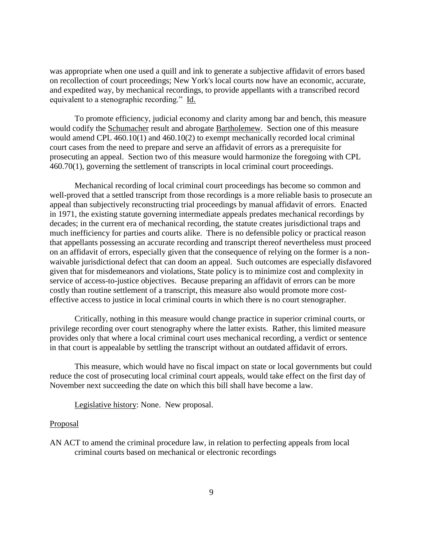was appropriate when one used a quill and ink to generate a subjective affidavit of errors based on recollection of court proceedings; New York's local courts now have an economic, accurate, and expedited way, by mechanical recordings, to provide appellants with a transcribed record equivalent to a stenographic recording." Id.

To promote efficiency, judicial economy and clarity among bar and bench, this measure would codify the Schumacher result and abrogate Bartholemew. Section one of this measure would amend CPL 460.10(1) and 460.10(2) to exempt mechanically recorded local criminal court cases from the need to prepare and serve an affidavit of errors as a prerequisite for prosecuting an appeal. Section two of this measure would harmonize the foregoing with CPL 460.70(1), governing the settlement of transcripts in local criminal court proceedings.

Mechanical recording of local criminal court proceedings has become so common and well-proved that a settled transcript from those recordings is a more reliable basis to prosecute an appeal than subjectively reconstructing trial proceedings by manual affidavit of errors. Enacted in 1971, the existing statute governing intermediate appeals predates mechanical recordings by decades; in the current era of mechanical recording, the statute creates jurisdictional traps and much inefficiency for parties and courts alike. There is no defensible policy or practical reason that appellants possessing an accurate recording and transcript thereof nevertheless must proceed on an affidavit of errors, especially given that the consequence of relying on the former is a nonwaivable jurisdictional defect that can doom an appeal. Such outcomes are especially disfavored given that for misdemeanors and violations, State policy is to minimize cost and complexity in service of access-to-justice objectives. Because preparing an affidavit of errors can be more costly than routine settlement of a transcript, this measure also would promote more costeffective access to justice in local criminal courts in which there is no court stenographer.

Critically, nothing in this measure would change practice in superior criminal courts, or privilege recording over court stenography where the latter exists. Rather, this limited measure provides only that where a local criminal court uses mechanical recording, a verdict or sentence in that court is appealable by settling the transcript without an outdated affidavit of errors.

This measure, which would have no fiscal impact on state or local governments but could reduce the cost of prosecuting local criminal court appeals, would take effect on the first day of November next succeeding the date on which this bill shall have become a law.

Legislative history: None. New proposal.

#### Proposal

AN ACT to amend the criminal procedure law, in relation to perfecting appeals from local criminal courts based on mechanical or electronic recordings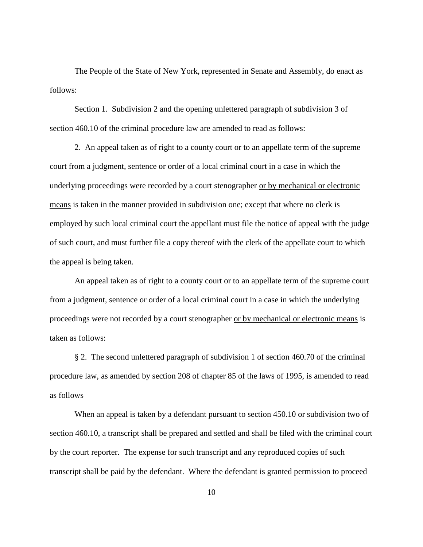The People of the State of New York, represented in Senate and Assembly, do enact as follows:

Section 1. Subdivision 2 and the opening unlettered paragraph of subdivision 3 of section 460.10 of the criminal procedure law are amended to read as follows:

2. An appeal taken as of right to a county court or to an appellate term of the supreme court from a judgment, sentence or order of a local criminal court in a case in which the underlying proceedings were recorded by a court stenographer or by mechanical or electronic means is taken in the manner provided in subdivision one; except that where no clerk is employed by such local criminal court the appellant must file the notice of appeal with the judge of such court, and must further file a copy thereof with the clerk of the appellate court to which the appeal is being taken.

An appeal taken as of right to a county court or to an appellate term of the supreme court from a judgment, sentence or order of a local criminal court in a case in which the underlying proceedings were not recorded by a court stenographer or by mechanical or electronic means is taken as follows:

§ 2. The second unlettered paragraph of subdivision 1 of section 460.70 of the criminal procedure law, as amended by section 208 of chapter 85 of the laws of 1995, is amended to read as follows

When an appeal is taken by a defendant pursuant to section 450.10 or subdivision two of section 460.10, a transcript shall be prepared and settled and shall be filed with the criminal court by the court reporter. The expense for such transcript and any reproduced copies of such transcript shall be paid by the defendant. Where the defendant is granted permission to proceed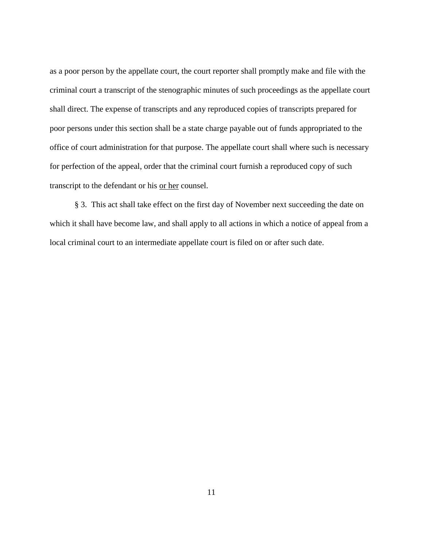as a poor person by the appellate court, the court reporter shall promptly make and file with the criminal court a transcript of the stenographic minutes of such proceedings as the appellate court shall direct. The expense of transcripts and any reproduced copies of transcripts prepared for poor persons under this section shall be a state charge payable out of funds appropriated to the office of court administration for that purpose. The appellate court shall where such is necessary for perfection of the appeal, order that the criminal court furnish a reproduced copy of such transcript to the defendant or his or her counsel.

§ 3. This act shall take effect on the first day of November next succeeding the date on which it shall have become law, and shall apply to all actions in which a notice of appeal from a local criminal court to an intermediate appellate court is filed on or after such date.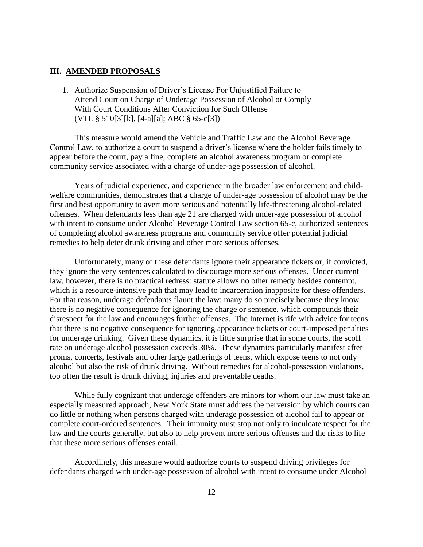#### **III. AMENDED PROPOSALS**

1. Authorize Suspension of Driver's License For Unjustified Failure to Attend Court on Charge of Underage Possession of Alcohol or Comply With Court Conditions After Conviction for Such Offense (VTL § 510[3][k], [4-a][a]; ABC § 65-c[3])

This measure would amend the Vehicle and Traffic Law and the Alcohol Beverage Control Law, to authorize a court to suspend a driver's license where the holder fails timely to appear before the court, pay a fine, complete an alcohol awareness program or complete community service associated with a charge of under-age possession of alcohol.

Years of judicial experience, and experience in the broader law enforcement and childwelfare communities, demonstrates that a charge of under-age possession of alcohol may be the first and best opportunity to avert more serious and potentially life-threatening alcohol-related offenses. When defendants less than age 21 are charged with under-age possession of alcohol with intent to consume under Alcohol Beverage Control Law section 65-c, authorized sentences of completing alcohol awareness programs and community service offer potential judicial remedies to help deter drunk driving and other more serious offenses.

Unfortunately, many of these defendants ignore their appearance tickets or, if convicted, they ignore the very sentences calculated to discourage more serious offenses. Under current law, however, there is no practical redress: statute allows no other remedy besides contempt, which is a resource-intensive path that may lead to incarceration inapposite for these offenders. For that reason, underage defendants flaunt the law: many do so precisely because they know there is no negative consequence for ignoring the charge or sentence, which compounds their disrespect for the law and encourages further offenses. The Internet is rife with advice for teens that there is no negative consequence for ignoring appearance tickets or court-imposed penalties for underage drinking. Given these dynamics, it is little surprise that in some courts, the scoff rate on underage alcohol possession exceeds 30%. These dynamics particularly manifest after proms, concerts, festivals and other large gatherings of teens, which expose teens to not only alcohol but also the risk of drunk driving. Without remedies for alcohol-possession violations, too often the result is drunk driving, injuries and preventable deaths.

While fully cognizant that underage offenders are minors for whom our law must take an especially measured approach, New York State must address the perversion by which courts can do little or nothing when persons charged with underage possession of alcohol fail to appear or complete court-ordered sentences. Their impunity must stop not only to inculcate respect for the law and the courts generally, but also to help prevent more serious offenses and the risks to life that these more serious offenses entail.

Accordingly, this measure would authorize courts to suspend driving privileges for defendants charged with under-age possession of alcohol with intent to consume under Alcohol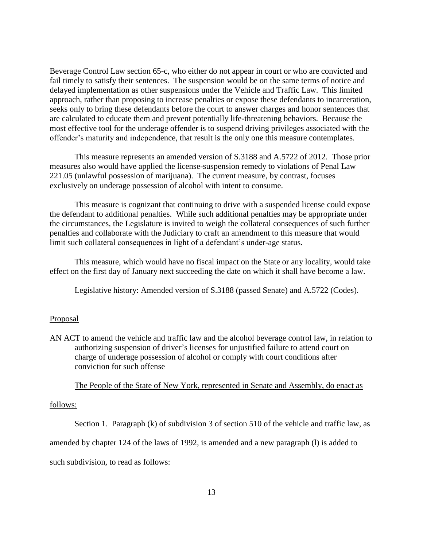Beverage Control Law section 65-c, who either do not appear in court or who are convicted and fail timely to satisfy their sentences. The suspension would be on the same terms of notice and delayed implementation as other suspensions under the Vehicle and Traffic Law. This limited approach, rather than proposing to increase penalties or expose these defendants to incarceration, seeks only to bring these defendants before the court to answer charges and honor sentences that are calculated to educate them and prevent potentially life-threatening behaviors. Because the most effective tool for the underage offender is to suspend driving privileges associated with the offender's maturity and independence, that result is the only one this measure contemplates.

This measure represents an amended version of S.3188 and A.5722 of 2012. Those prior measures also would have applied the license-suspension remedy to violations of Penal Law 221.05 (unlawful possession of marijuana). The current measure, by contrast, focuses exclusively on underage possession of alcohol with intent to consume.

This measure is cognizant that continuing to drive with a suspended license could expose the defendant to additional penalties. While such additional penalties may be appropriate under the circumstances, the Legislature is invited to weigh the collateral consequences of such further penalties and collaborate with the Judiciary to craft an amendment to this measure that would limit such collateral consequences in light of a defendant's under-age status.

This measure, which would have no fiscal impact on the State or any locality, would take effect on the first day of January next succeeding the date on which it shall have become a law.

Legislative history: Amended version of S.3188 (passed Senate) and A.5722 (Codes).

#### **Proposal**

AN ACT to amend the vehicle and traffic law and the alcohol beverage control law, in relation to authorizing suspension of driver's licenses for unjustified failure to attend court on charge of underage possession of alcohol or comply with court conditions after conviction for such offense

## The People of the State of New York, represented in Senate and Assembly, do enact as

#### follows:

Section 1. Paragraph (k) of subdivision 3 of section 510 of the vehicle and traffic law, as

amended by chapter 124 of the laws of 1992, is amended and a new paragraph (l) is added to

such subdivision, to read as follows: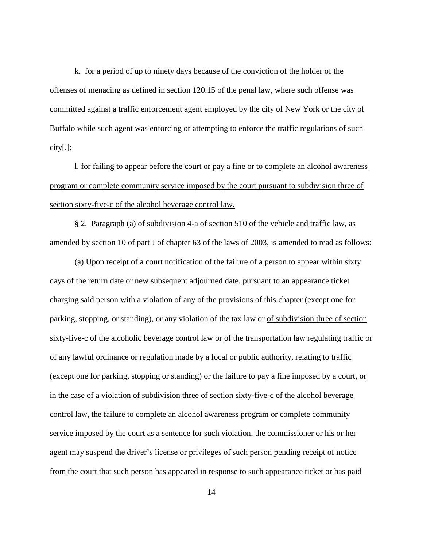k. for a period of up to ninety days because of the conviction of the holder of the offenses of menacing as defined in section 120.15 of the penal law, where such offense was committed against a traffic enforcement agent employed by the city of New York or the city of Buffalo while such agent was enforcing or attempting to enforce the traffic regulations of such  $city[.]$ ;

l. for failing to appear before the court or pay a fine or to complete an alcohol awareness program or complete community service imposed by the court pursuant to subdivision three of section sixty-five-c of the alcohol beverage control law.

§ 2. Paragraph (a) of subdivision 4-a of section 510 of the vehicle and traffic law, as amended by section 10 of part J of chapter 63 of the laws of 2003, is amended to read as follows:

(a) Upon receipt of a court notification of the failure of a person to appear within sixty days of the return date or new subsequent adjourned date, pursuant to an appearance ticket charging said person with a violation of any of the provisions of this chapter (except one for parking, stopping, or standing), or any violation of the tax law or <u>of subdivision three of section</u> sixty-five-c of the alcoholic beverage control law or of the transportation law regulating traffic or of any lawful ordinance or regulation made by a local or public authority, relating to traffic (except one for parking, stopping or standing) or the failure to pay a fine imposed by a court, or in the case of a violation of subdivision three of section sixty-five-c of the alcohol beverage control law, the failure to complete an alcohol awareness program or complete community service imposed by the court as a sentence for such violation, the commissioner or his or her agent may suspend the driver's license or privileges of such person pending receipt of notice from the court that such person has appeared in response to such appearance ticket or has paid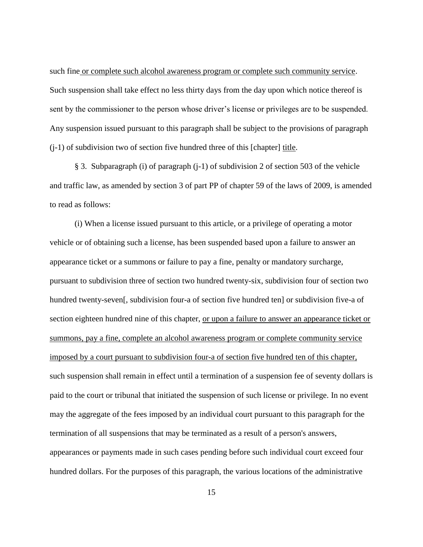such fine or complete such alcohol awareness program or complete such community service. Such suspension shall take effect no less thirty days from the day upon which notice thereof is sent by the commissioner to the person whose driver's license or privileges are to be suspended. Any suspension issued pursuant to this paragraph shall be subject to the provisions of paragraph (j-1) of subdivision two of section five hundred three of this [chapter] title.

§ 3. Subparagraph (i) of paragraph (j-1) of subdivision 2 of section 503 of the vehicle and traffic law, as amended by section 3 of part PP of chapter 59 of the laws of 2009, is amended to read as follows:

(i) When a license issued pursuant to this article, or a privilege of operating a motor vehicle or of obtaining such a license, has been suspended based upon a failure to answer an appearance ticket or a summons or failure to pay a fine, penalty or mandatory surcharge, pursuant to subdivision three of section two hundred twenty-six, subdivision four of section two hundred twenty-seven[, subdivision four-a of section five hundred ten] or subdivision five-a of section eighteen hundred nine of this chapter, <u>or upon a failure to answer an appearance ticket or</u> summons, pay a fine, complete an alcohol awareness program or complete community service imposed by a court pursuant to subdivision four-a of section five hundred ten of this chapter, such suspension shall remain in effect until a termination of a suspension fee of seventy dollars is paid to the court or tribunal that initiated the suspension of such license or privilege. In no event may the aggregate of the fees imposed by an individual court pursuant to this paragraph for the termination of all suspensions that may be terminated as a result of a person's answers, appearances or payments made in such cases pending before such individual court exceed four hundred dollars. For the purposes of this paragraph, the various locations of the administrative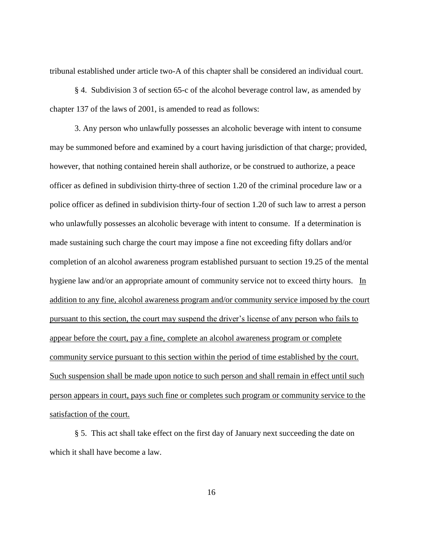tribunal established under article two-A of this chapter shall be considered an individual court.

§ 4. Subdivision 3 of section 65-c of the alcohol beverage control law, as amended by chapter 137 of the laws of 2001, is amended to read as follows:

3. Any person who unlawfully possesses an alcoholic beverage with intent to consume may be summoned before and examined by a court having jurisdiction of that charge; provided, however, that nothing contained herein shall authorize, or be construed to authorize, a peace officer as defined in subdivision thirty-three of section 1.20 of the criminal procedure law or a police officer as defined in subdivision thirty-four of section 1.20 of such law to arrest a person who unlawfully possesses an alcoholic beverage with intent to consume. If a determination is made sustaining such charge the court may impose a fine not exceeding fifty dollars and/or completion of an alcohol awareness program established pursuant to section 19.25 of the mental hygiene law and/or an appropriate amount of community service not to exceed thirty hours. In addition to any fine, alcohol awareness program and/or community service imposed by the court pursuant to this section, the court may suspend the driver's license of any person who fails to appear before the court, pay a fine, complete an alcohol awareness program or complete community service pursuant to this section within the period of time established by the court. Such suspension shall be made upon notice to such person and shall remain in effect until such person appears in court, pays such fine or completes such program or community service to the satisfaction of the court.

§ 5. This act shall take effect on the first day of January next succeeding the date on which it shall have become a law.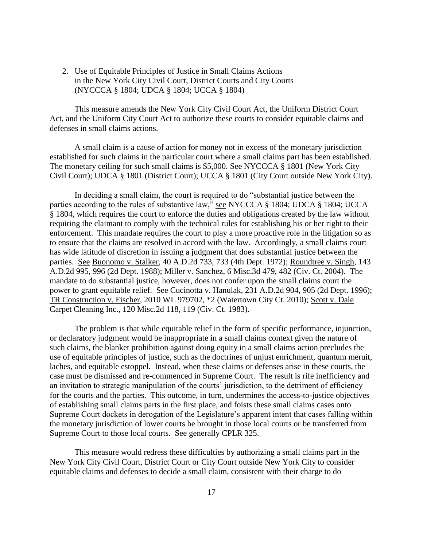2. Use of Equitable Principles of Justice in Small Claims Actions in the New York City Civil Court, District Courts and City Courts (NYCCCA § 1804; UDCA § 1804; UCCA § 1804)

This measure amends the New York City Civil Court Act, the Uniform District Court Act, and the Uniform City Court Act to authorize these courts to consider equitable claims and defenses in small claims actions.

A small claim is a cause of action for money not in excess of the monetary jurisdiction established for such claims in the particular court where a small claims part has been established. The monetary ceiling for such small claims is \$5,000. See NYCCCA § 1801 (New York City Civil Court); UDCA § 1801 (District Court); UCCA § 1801 (City Court outside New York City).

In deciding a small claim, the court is required to do "substantial justice between the parties according to the rules of substantive law," see NYCCCA § 1804; UDCA § 1804; UCCA § 1804, which requires the court to enforce the duties and obligations created by the law without requiring the claimant to comply with the technical rules for establishing his or her right to their enforcement. This mandate requires the court to play a more proactive role in the litigation so as to ensure that the claims are resolved in accord with the law. Accordingly, a small claims court has wide latitude of discretion in issuing a judgment that does substantial justice between the parties. See Buonomo v. Stalker, 40 A.D.2d 733, 733 (4th Dept. 1972); Roundtree v. Singh, 143 A.D.2d 995, 996 (2d Dept. 1988); Miller v. Sanchez, 6 Misc.3d 479, 482 (Civ. Ct. 2004). The mandate to do substantial justice, however, does not confer upon the small claims court the power to grant equitable relief. See Cucinotta v. Hanulak, 231 A.D.2d 904, 905 (2d Dept. 1996); TR Construction v. Fischer, 2010 WL 979702, \*2 (Watertown City Ct. 2010); Scott v. Dale Carpet Cleaning Inc., 120 Misc.2d 118, 119 (Civ. Ct. 1983).

The problem is that while equitable relief in the form of specific performance, injunction, or declaratory judgment would be inappropriate in a small claims context given the nature of such claims, the blanket prohibition against doing equity in a small claims action precludes the use of equitable principles of justice, such as the doctrines of unjust enrichment, quantum meruit, laches, and equitable estoppel. Instead, when these claims or defenses arise in these courts, the case must be dismissed and re-commenced in Supreme Court. The result is rife inefficiency and an invitation to strategic manipulation of the courts' jurisdiction, to the detriment of efficiency for the courts and the parties. This outcome, in turn, undermines the access-to-justice objectives of establishing small claims parts in the first place, and foists these small claims cases onto Supreme Court dockets in derogation of the Legislature's apparent intent that cases falling within the monetary jurisdiction of lower courts be brought in those local courts or be transferred from Supreme Court to those local courts. See generally CPLR 325.

This measure would redress these difficulties by authorizing a small claims part in the New York City Civil Court, District Court or City Court outside New York City to consider equitable claims and defenses to decide a small claim, consistent with their charge to do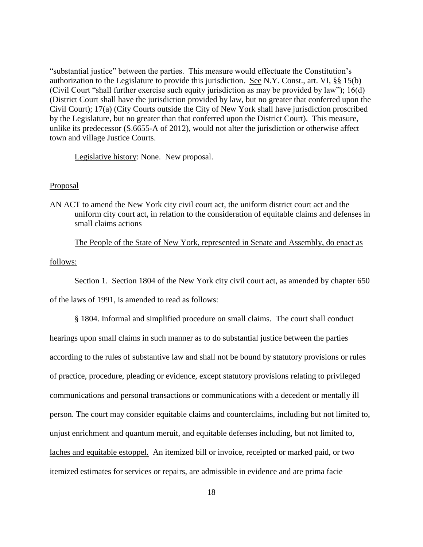"substantial justice" between the parties. This measure would effectuate the Constitution's authorization to the Legislature to provide this jurisdiction. See N.Y. Const., art. VI, §§ 15(b) (Civil Court "shall further exercise such equity jurisdiction as may be provided by law"); 16(d) (District Court shall have the jurisdiction provided by law, but no greater that conferred upon the Civil Court); 17(a) (City Courts outside the City of New York shall have jurisdiction proscribed by the Legislature, but no greater than that conferred upon the District Court). This measure, unlike its predecessor (S.6655-A of 2012), would not alter the jurisdiction or otherwise affect town and village Justice Courts.

Legislative history: None. New proposal.

#### Proposal

AN ACT to amend the New York city civil court act, the uniform district court act and the uniform city court act, in relation to the consideration of equitable claims and defenses in small claims actions

The People of the State of New York, represented in Senate and Assembly, do enact as follows:

Section 1. Section 1804 of the New York city civil court act, as amended by chapter 650

of the laws of 1991, is amended to read as follows:

§ 1804. Informal and simplified procedure on small claims. The court shall conduct hearings upon small claims in such manner as to do substantial justice between the parties according to the rules of substantive law and shall not be bound by statutory provisions or rules of practice, procedure, pleading or evidence, except statutory provisions relating to privileged communications and personal transactions or communications with a decedent or mentally ill person. The court may consider equitable claims and counterclaims, including but not limited to, unjust enrichment and quantum meruit, and equitable defenses including, but not limited to, laches and equitable estoppel. An itemized bill or invoice, receipted or marked paid, or two itemized estimates for services or repairs, are admissible in evidence and are prima facie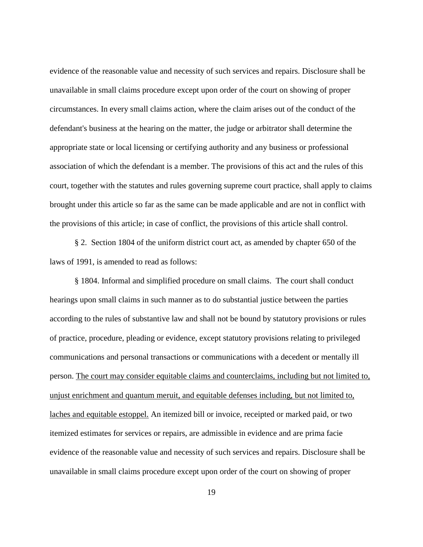evidence of the reasonable value and necessity of such services and repairs. Disclosure shall be unavailable in small claims procedure except upon order of the court on showing of proper circumstances. In every small claims action, where the claim arises out of the conduct of the defendant's business at the hearing on the matter, the judge or arbitrator shall determine the appropriate state or local licensing or certifying authority and any business or professional association of which the defendant is a member. The provisions of this act and the rules of this court, together with the statutes and rules governing supreme court practice, shall apply to claims brought under this article so far as the same can be made applicable and are not in conflict with the provisions of this article; in case of conflict, the provisions of this article shall control.

§ 2. Section 1804 of the uniform district court act, as amended by chapter 650 of the laws of 1991, is amended to read as follows:

§ 1804. Informal and simplified procedure on small claims. The court shall conduct hearings upon small claims in such manner as to do substantial justice between the parties according to the rules of substantive law and shall not be bound by statutory provisions or rules of practice, procedure, pleading or evidence, except statutory provisions relating to privileged communications and personal transactions or communications with a decedent or mentally ill person. The court may consider equitable claims and counterclaims, including but not limited to, unjust enrichment and quantum meruit, and equitable defenses including, but not limited to, laches and equitable estoppel. An itemized bill or invoice, receipted or marked paid, or two itemized estimates for services or repairs, are admissible in evidence and are prima facie evidence of the reasonable value and necessity of such services and repairs. Disclosure shall be unavailable in small claims procedure except upon order of the court on showing of proper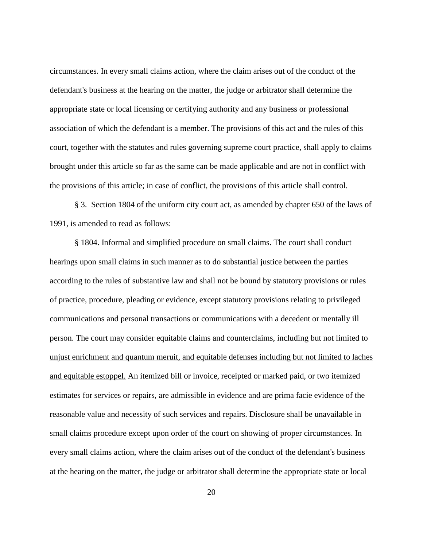circumstances. In every small claims action, where the claim arises out of the conduct of the defendant's business at the hearing on the matter, the judge or arbitrator shall determine the appropriate state or local licensing or certifying authority and any business or professional association of which the defendant is a member. The provisions of this act and the rules of this court, together with the statutes and rules governing supreme court practice, shall apply to claims brought under this article so far as the same can be made applicable and are not in conflict with the provisions of this article; in case of conflict, the provisions of this article shall control.

§ 3. Section 1804 of the uniform city court act, as amended by chapter 650 of the laws of 1991, is amended to read as follows:

§ 1804. Informal and simplified procedure on small claims. The court shall conduct hearings upon small claims in such manner as to do substantial justice between the parties according to the rules of substantive law and shall not be bound by statutory provisions or rules of practice, procedure, pleading or evidence, except statutory provisions relating to privileged communications and personal transactions or communications with a decedent or mentally ill person. The court may consider equitable claims and counterclaims, including but not limited to unjust enrichment and quantum meruit, and equitable defenses including but not limited to laches and equitable estoppel. An itemized bill or invoice, receipted or marked paid, or two itemized estimates for services or repairs, are admissible in evidence and are prima facie evidence of the reasonable value and necessity of such services and repairs. Disclosure shall be unavailable in small claims procedure except upon order of the court on showing of proper circumstances. In every small claims action, where the claim arises out of the conduct of the defendant's business at the hearing on the matter, the judge or arbitrator shall determine the appropriate state or local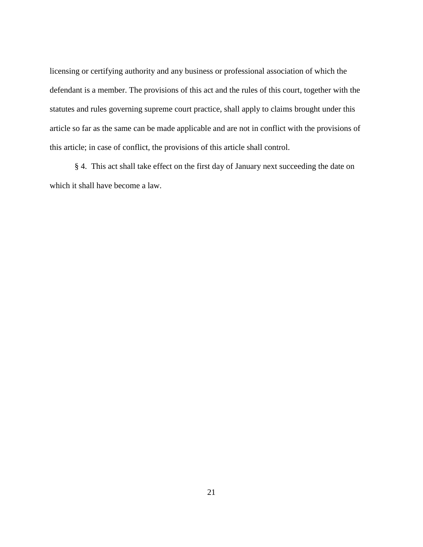licensing or certifying authority and any business or professional association of which the defendant is a member. The provisions of this act and the rules of this court, together with the statutes and rules governing supreme court practice, shall apply to claims brought under this article so far as the same can be made applicable and are not in conflict with the provisions of this article; in case of conflict, the provisions of this article shall control.

§ 4. This act shall take effect on the first day of January next succeeding the date on which it shall have become a law.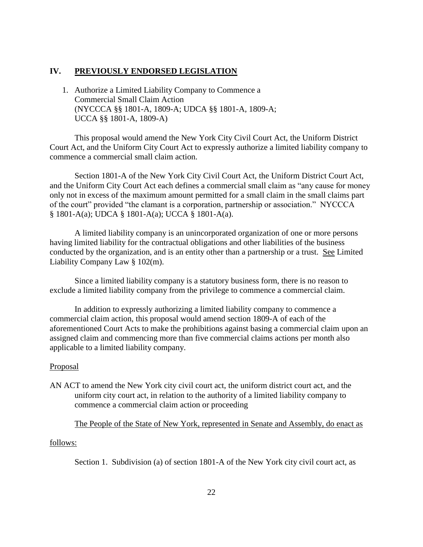## **IV. PREVIOUSLY ENDORSED LEGISLATION**

1. Authorize a Limited Liability Company to Commence a Commercial Small Claim Action (NYCCCA §§ 1801-A, 1809-A; UDCA §§ 1801-A, 1809-A; UCCA §§ 1801-A, 1809-A)

This proposal would amend the New York City Civil Court Act, the Uniform District Court Act, and the Uniform City Court Act to expressly authorize a limited liability company to commence a commercial small claim action.

Section 1801-A of the New York City Civil Court Act, the Uniform District Court Act, and the Uniform City Court Act each defines a commercial small claim as "any cause for money only not in excess of the maximum amount permitted for a small claim in the small claims part of the court" provided "the clamant is a corporation, partnership or association." NYCCCA § 1801-A(a); UDCA § 1801-A(a); UCCA § 1801-A(a).

A limited liability company is an unincorporated organization of one or more persons having limited liability for the contractual obligations and other liabilities of the business conducted by the organization, and is an entity other than a partnership or a trust. See Limited Liability Company Law § 102(m).

Since a limited liability company is a statutory business form, there is no reason to exclude a limited liability company from the privilege to commence a commercial claim.

In addition to expressly authorizing a limited liability company to commence a commercial claim action, this proposal would amend section 1809-A of each of the aforementioned Court Acts to make the prohibitions against basing a commercial claim upon an assigned claim and commencing more than five commercial claims actions per month also applicable to a limited liability company.

### Proposal

AN ACT to amend the New York city civil court act, the uniform district court act, and the uniform city court act, in relation to the authority of a limited liability company to commence a commercial claim action or proceeding

The People of the State of New York, represented in Senate and Assembly, do enact as

### follows:

Section 1. Subdivision (a) of section 1801-A of the New York city civil court act, as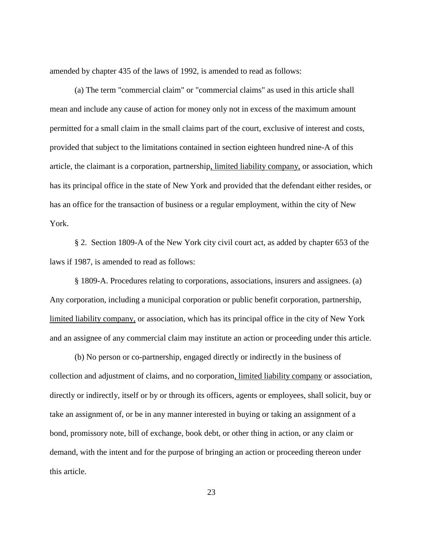amended by chapter 435 of the laws of 1992, is amended to read as follows:

(a) The term "commercial claim" or "commercial claims" as used in this article shall mean and include any cause of action for money only not in excess of the maximum amount permitted for a small claim in the small claims part of the court, exclusive of interest and costs, provided that subject to the limitations contained in section eighteen hundred nine-A of this article, the claimant is a corporation, partnership, limited liability company, or association, which has its principal office in the state of New York and provided that the defendant either resides, or has an office for the transaction of business or a regular employment, within the city of New York.

§ 2. Section 1809-A of the New York city civil court act, as added by chapter 653 of the laws if 1987, is amended to read as follows:

§ 1809-A. Procedures relating to corporations, associations, insurers and assignees. (a) Any corporation, including a municipal corporation or public benefit corporation, partnership, limited liability company, or association, which has its principal office in the city of New York and an assignee of any commercial claim may institute an action or proceeding under this article.

(b) No person or co-partnership, engaged directly or indirectly in the business of collection and adjustment of claims, and no corporation, limited liability company or association, directly or indirectly, itself or by or through its officers, agents or employees, shall solicit, buy or take an assignment of, or be in any manner interested in buying or taking an assignment of a bond, promissory note, bill of exchange, book debt, or other thing in action, or any claim or demand, with the intent and for the purpose of bringing an action or proceeding thereon under this article.

23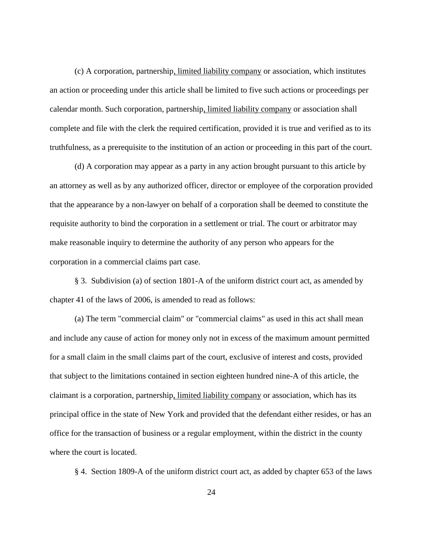(c) A corporation, partnership, limited liability company or association, which institutes an action or proceeding under this article shall be limited to five such actions or proceedings per calendar month. Such corporation, partnership, limited liability company or association shall complete and file with the clerk the required certification, provided it is true and verified as to its truthfulness, as a prerequisite to the institution of an action or proceeding in this part of the court.

(d) A corporation may appear as a party in any action brought pursuant to this article by an attorney as well as by any authorized officer, director or employee of the corporation provided that the appearance by a non-lawyer on behalf of a corporation shall be deemed to constitute the requisite authority to bind the corporation in a settlement or trial. The court or arbitrator may make reasonable inquiry to determine the authority of any person who appears for the corporation in a commercial claims part case.

§ 3. Subdivision (a) of section 1801-A of the uniform district court act, as amended by chapter 41 of the laws of 2006, is amended to read as follows:

(a) The term "commercial claim" or "commercial claims" as used in this act shall mean and include any cause of action for money only not in excess of the maximum amount permitted for a small claim in the small claims part of the court, exclusive of interest and costs, provided that subject to the limitations contained in section eighteen hundred nine-A of this article, the claimant is a corporation, partnership, limited liability company or association, which has its principal office in the state of New York and provided that the defendant either resides, or has an office for the transaction of business or a regular employment, within the district in the county where the court is located.

§ 4. Section 1809-A of the uniform district court act, as added by chapter 653 of the laws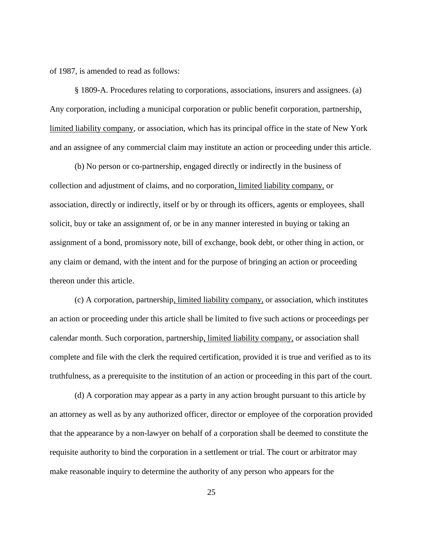of 1987, is amended to read as follows:

§ 1809-A. Procedures relating to corporations, associations, insurers and assignees. (a) Any corporation, including a municipal corporation or public benefit corporation, partnership, limited liability company, or association, which has its principal office in the state of New York and an assignee of any commercial claim may institute an action or proceeding under this article.

(b) No person or co-partnership, engaged directly or indirectly in the business of collection and adjustment of claims, and no corporation, limited liability company, or association, directly or indirectly, itself or by or through its officers, agents or employees, shall solicit, buy or take an assignment of, or be in any manner interested in buying or taking an assignment of a bond, promissory note, bill of exchange, book debt, or other thing in action, or any claim or demand, with the intent and for the purpose of bringing an action or proceeding thereon under this article.

(c) A corporation, partnership, limited liability company, or association, which institutes an action or proceeding under this article shall be limited to five such actions or proceedings per calendar month. Such corporation, partnership, limited liability company, or association shall complete and file with the clerk the required certification, provided it is true and verified as to its truthfulness, as a prerequisite to the institution of an action or proceeding in this part of the court.

(d) A corporation may appear as a party in any action brought pursuant to this article by an attorney as well as by any authorized officer, director or employee of the corporation provided that the appearance by a non-lawyer on behalf of a corporation shall be deemed to constitute the requisite authority to bind the corporation in a settlement or trial. The court or arbitrator may make reasonable inquiry to determine the authority of any person who appears for the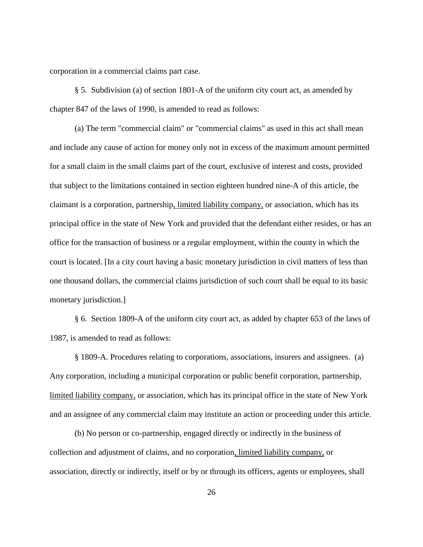corporation in a commercial claims part case.

§ 5. Subdivision (a) of section 1801-A of the uniform city court act, as amended by chapter 847 of the laws of 1990, is amended to read as follows:

(a) The term "commercial claim" or "commercial claims" as used in this act shall mean and include any cause of action for money only not in excess of the maximum amount permitted for a small claim in the small claims part of the court, exclusive of interest and costs, provided that subject to the limitations contained in section eighteen hundred nine-A of this article, the claimant is a corporation, partnership, limited liability company, or association, which has its principal office in the state of New York and provided that the defendant either resides, or has an office for the transaction of business or a regular employment, within the county in which the court is located. [In a city court having a basic monetary jurisdiction in civil matters of less than one thousand dollars, the commercial claims jurisdiction of such court shall be equal to its basic monetary jurisdiction.]

§ 6. Section 1809-A of the uniform city court act, as added by chapter 653 of the laws of 1987, is amended to read as follows:

§ 1809-A. Procedures relating to corporations, associations, insurers and assignees. (a) Any corporation, including a municipal corporation or public benefit corporation, partnership, limited liability company, or association, which has its principal office in the state of New York and an assignee of any commercial claim may institute an action or proceeding under this article.

(b) No person or co-partnership, engaged directly or indirectly in the business of collection and adjustment of claims, and no corporation, limited liability company, or association, directly or indirectly, itself or by or through its officers, agents or employees, shall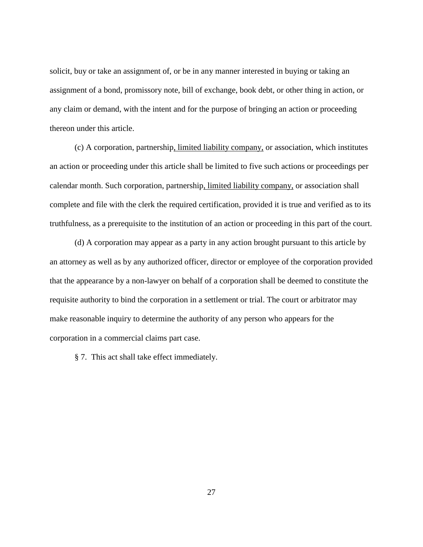solicit, buy or take an assignment of, or be in any manner interested in buying or taking an assignment of a bond, promissory note, bill of exchange, book debt, or other thing in action, or any claim or demand, with the intent and for the purpose of bringing an action or proceeding thereon under this article.

(c) A corporation, partnership, limited liability company, or association, which institutes an action or proceeding under this article shall be limited to five such actions or proceedings per calendar month. Such corporation, partnership, limited liability company, or association shall complete and file with the clerk the required certification, provided it is true and verified as to its truthfulness, as a prerequisite to the institution of an action or proceeding in this part of the court.

(d) A corporation may appear as a party in any action brought pursuant to this article by an attorney as well as by any authorized officer, director or employee of the corporation provided that the appearance by a non-lawyer on behalf of a corporation shall be deemed to constitute the requisite authority to bind the corporation in a settlement or trial. The court or arbitrator may make reasonable inquiry to determine the authority of any person who appears for the corporation in a commercial claims part case.

§ 7. This act shall take effect immediately.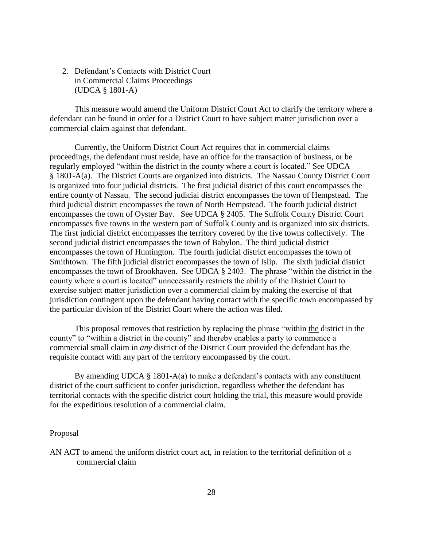2. Defendant's Contacts with District Court in Commercial Claims Proceedings (UDCA § 1801-A)

This measure would amend the Uniform District Court Act to clarify the territory where a defendant can be found in order for a District Court to have subject matter jurisdiction over a commercial claim against that defendant.

Currently, the Uniform District Court Act requires that in commercial claims proceedings, the defendant must reside, have an office for the transaction of business, or be regularly employed "within the district in the county where a court is located." See UDCA § 1801-A(a). The District Courts are organized into districts. The Nassau County District Court is organized into four judicial districts. The first judicial district of this court encompasses the entire county of Nassau. The second judicial district encompasses the town of Hempstead. The third judicial district encompasses the town of North Hempstead. The fourth judicial district encompasses the town of Oyster Bay. See UDCA § 2405. The Suffolk County District Court encompasses five towns in the western part of Suffolk County and is organized into six districts. The first judicial district encompasses the territory covered by the five towns collectively. The second judicial district encompasses the town of Babylon. The third judicial district encompasses the town of Huntington. The fourth judicial district encompasses the town of Smithtown. The fifth judicial district encompasses the town of Islip. The sixth judicial district encompasses the town of Brookhaven. See UDCA § 2403. The phrase "within the district in the county where a court is located" unnecessarily restricts the ability of the District Court to exercise subject matter jurisdiction over a commercial claim by making the exercise of that jurisdiction contingent upon the defendant having contact with the specific town encompassed by the particular division of the District Court where the action was filed.

This proposal removes that restriction by replacing the phrase "within the district in the county" to "within a district in the county" and thereby enables a party to commence a commercial small claim in *any* district of the District Court provided the defendant has the requisite contact with any part of the territory encompassed by the court.

By amending UDCA  $\S$  1801-A(a) to make a defendant's contacts with any constituent district of the court sufficient to confer jurisdiction, regardless whether the defendant has territorial contacts with the specific district court holding the trial, this measure would provide for the expeditious resolution of a commercial claim.

#### **Proposal**

AN ACT to amend the uniform district court act, in relation to the territorial definition of a commercial claim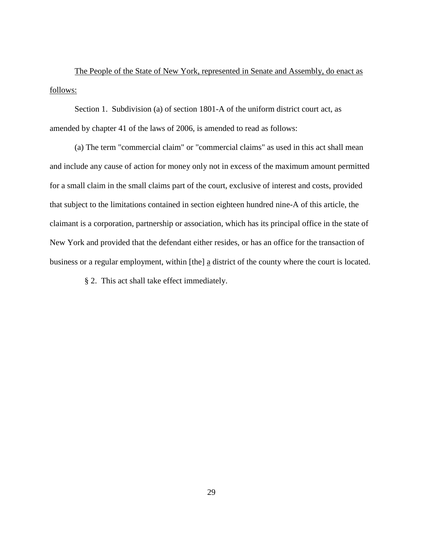The People of the State of New York, represented in Senate and Assembly, do enact as follows:

Section 1. Subdivision (a) of section 1801-A of the uniform district court act, as amended by chapter 41 of the laws of 2006, is amended to read as follows:

(a) The term "commercial claim" or "commercial claims" as used in this act shall mean and include any cause of action for money only not in excess of the maximum amount permitted for a small claim in the small claims part of the court, exclusive of interest and costs, provided that subject to the limitations contained in section eighteen hundred nine-A of this article, the claimant is a corporation, partnership or association, which has its principal office in the state of New York and provided that the defendant either resides, or has an office for the transaction of business or a regular employment, within [the]  $\underline{a}$  district of the county where the court is located.

§ 2. This act shall take effect immediately.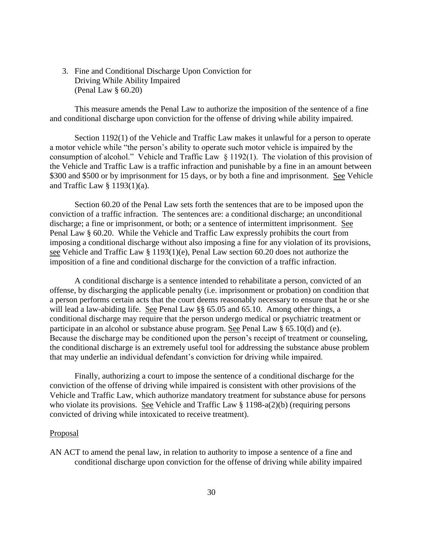3. Fine and Conditional Discharge Upon Conviction for Driving While Ability Impaired (Penal Law § 60.20)

This measure amends the Penal Law to authorize the imposition of the sentence of a fine and conditional discharge upon conviction for the offense of driving while ability impaired.

Section 1192(1) of the Vehicle and Traffic Law makes it unlawful for a person to operate a motor vehicle while "the person's ability to operate such motor vehicle is impaired by the consumption of alcohol." Vehicle and Traffic Law § 1192(1). The violation of this provision of the Vehicle and Traffic Law is a traffic infraction and punishable by a fine in an amount between \$300 and \$500 or by imprisonment for 15 days, or by both a fine and imprisonment. See Vehicle and Traffic Law  $\S$  1193(1)(a).

Section 60.20 of the Penal Law sets forth the sentences that are to be imposed upon the conviction of a traffic infraction. The sentences are: a conditional discharge; an unconditional discharge; a fine or imprisonment, or both; or a sentence of intermittent imprisonment. See Penal Law § 60.20. While the Vehicle and Traffic Law expressly prohibits the court from imposing a conditional discharge without also imposing a fine for any violation of its provisions, see Vehicle and Traffic Law § 1193(1)(e), Penal Law section 60.20 does not authorize the imposition of a fine and conditional discharge for the conviction of a traffic infraction.

A conditional discharge is a sentence intended to rehabilitate a person, convicted of an offense, by discharging the applicable penalty (i.e. imprisonment or probation) on condition that a person performs certain acts that the court deems reasonably necessary to ensure that he or she will lead a law-abiding life. See Penal Law §§ 65.05 and 65.10. Among other things, a conditional discharge may require that the person undergo medical or psychiatric treatment or participate in an alcohol or substance abuse program. See Penal Law § 65.10(d) and (e). Because the discharge may be conditioned upon the person's receipt of treatment or counseling, the conditional discharge is an extremely useful tool for addressing the substance abuse problem that may underlie an individual defendant's conviction for driving while impaired.

Finally, authorizing a court to impose the sentence of a conditional discharge for the conviction of the offense of driving while impaired is consistent with other provisions of the Vehicle and Traffic Law, which authorize mandatory treatment for substance abuse for persons who violate its provisions. See Vehicle and Traffic Law § 1198-a(2)(b) (requiring persons convicted of driving while intoxicated to receive treatment).

#### Proposal

AN ACT to amend the penal law, in relation to authority to impose a sentence of a fine and conditional discharge upon conviction for the offense of driving while ability impaired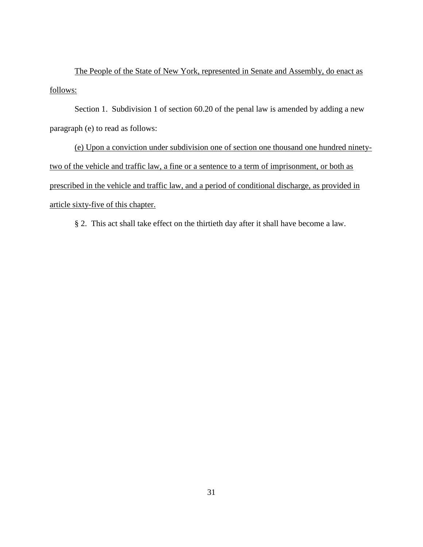The People of the State of New York, represented in Senate and Assembly, do enact as follows:

Section 1. Subdivision 1 of section 60.20 of the penal law is amended by adding a new paragraph (e) to read as follows:

(e) Upon a conviction under subdivision one of section one thousand one hundred ninetytwo of the vehicle and traffic law, a fine or a sentence to a term of imprisonment, or both as prescribed in the vehicle and traffic law, and a period of conditional discharge, as provided in article sixty-five of this chapter.

§ 2. This act shall take effect on the thirtieth day after it shall have become a law.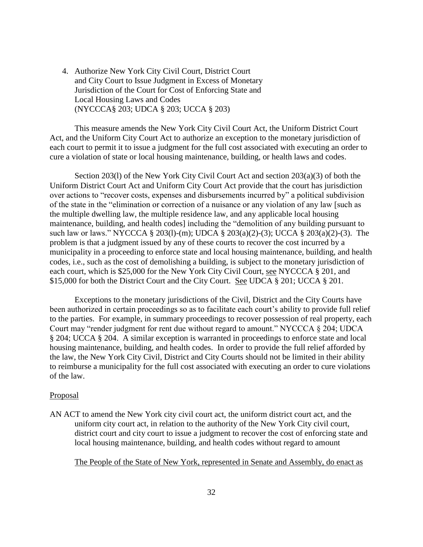4. Authorize New York City Civil Court, District Court and City Court to Issue Judgment in Excess of Monetary Jurisdiction of the Court for Cost of Enforcing State and Local Housing Laws and Codes (NYCCCA§ 203; UDCA § 203; UCCA § 203)

This measure amends the New York City Civil Court Act, the Uniform District Court Act, and the Uniform City Court Act to authorize an exception to the monetary jurisdiction of each court to permit it to issue a judgment for the full cost associated with executing an order to cure a violation of state or local housing maintenance, building, or health laws and codes.

Section 203(l) of the New York City Civil Court Act and section 203(a)(3) of both the Uniform District Court Act and Uniform City Court Act provide that the court has jurisdiction over actions to "recover costs, expenses and disbursements incurred by" a political subdivision of the state in the "elimination or correction of a nuisance or any violation of any law [such as the multiple dwelling law, the multiple residence law, and any applicable local housing maintenance, building, and health codes] including the "demolition of any building pursuant to such law or laws." NYCCCA § 203(l)-(m); UDCA § 203(a)(2)-(3); UCCA § 203(a)(2)-(3). The problem is that a judgment issued by any of these courts to recover the cost incurred by a municipality in a proceeding to enforce state and local housing maintenance, building, and health codes, i.e., such as the cost of demolishing a building, is subject to the monetary jurisdiction of each court, which is \$25,000 for the New York City Civil Court, see NYCCCA § 201, and \$15,000 for both the District Court and the City Court. See UDCA § 201; UCCA § 201.

Exceptions to the monetary jurisdictions of the Civil, District and the City Courts have been authorized in certain proceedings so as to facilitate each court's ability to provide full relief to the parties. For example, in summary proceedings to recover possession of real property, each Court may "render judgment for rent due without regard to amount." NYCCCA § 204; UDCA § 204; UCCA § 204. A similar exception is warranted in proceedings to enforce state and local housing maintenance, building, and health codes. In order to provide the full relief afforded by the law, the New York City Civil, District and City Courts should not be limited in their ability to reimburse a municipality for the full cost associated with executing an order to cure violations of the law.

#### Proposal

AN ACT to amend the New York city civil court act, the uniform district court act, and the uniform city court act, in relation to the authority of the New York City civil court, district court and city court to issue a judgment to recover the cost of enforcing state and local housing maintenance, building, and health codes without regard to amount

The People of the State of New York, represented in Senate and Assembly, do enact as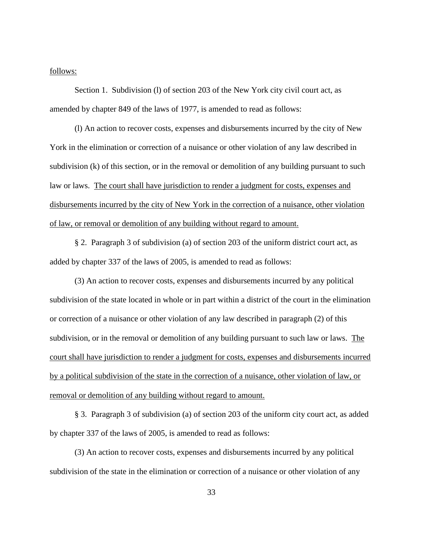#### follows:

Section 1. Subdivision (I) of section 203 of the New York city civil court act, as amended by chapter 849 of the laws of 1977, is amended to read as follows:

(l) An action to recover costs, expenses and disbursements incurred by the city of New York in the elimination or correction of a nuisance or other violation of any law described in subdivision (k) of this section, or in the removal or demolition of any building pursuant to such law or laws. The court shall have jurisdiction to render a judgment for costs, expenses and disbursements incurred by the city of New York in the correction of a nuisance, other violation of law, or removal or demolition of any building without regard to amount.

§ 2. Paragraph 3 of subdivision (a) of section 203 of the uniform district court act, as added by chapter 337 of the laws of 2005, is amended to read as follows:

(3) An action to recover costs, expenses and disbursements incurred by any political subdivision of the state located in whole or in part within a district of the court in the elimination or correction of a nuisance or other violation of any law described in paragraph (2) of this subdivision, or in the removal or demolition of any building pursuant to such law or laws. The court shall have jurisdiction to render a judgment for costs, expenses and disbursements incurred by a political subdivision of the state in the correction of a nuisance, other violation of law, or removal or demolition of any building without regard to amount.

§ 3. Paragraph 3 of subdivision (a) of section 203 of the uniform city court act, as added by chapter 337 of the laws of 2005, is amended to read as follows:

(3) An action to recover costs, expenses and disbursements incurred by any political subdivision of the state in the elimination or correction of a nuisance or other violation of any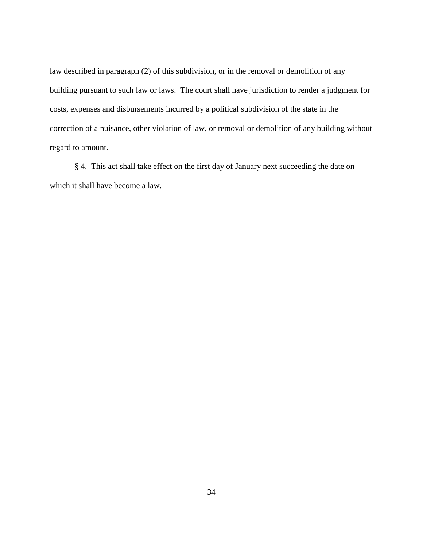law described in paragraph (2) of this subdivision, or in the removal or demolition of any building pursuant to such law or laws. The court shall have jurisdiction to render a judgment for costs, expenses and disbursements incurred by a political subdivision of the state in the correction of a nuisance, other violation of law, or removal or demolition of any building without regard to amount.

§ 4. This act shall take effect on the first day of January next succeeding the date on which it shall have become a law.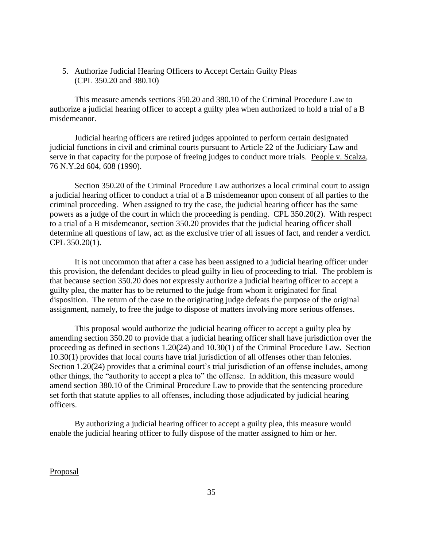5. Authorize Judicial Hearing Officers to Accept Certain Guilty Pleas (CPL 350.20 and 380.10)

This measure amends sections 350.20 and 380.10 of the Criminal Procedure Law to authorize a judicial hearing officer to accept a guilty plea when authorized to hold a trial of a B misdemeanor.

Judicial hearing officers are retired judges appointed to perform certain designated judicial functions in civil and criminal courts pursuant to Article 22 of the Judiciary Law and serve in that capacity for the purpose of freeing judges to conduct more trials. People v. Scalza, 76 N.Y.2d 604, 608 (1990).

Section 350.20 of the Criminal Procedure Law authorizes a local criminal court to assign a judicial hearing officer to conduct a trial of a B misdemeanor upon consent of all parties to the criminal proceeding. When assigned to try the case, the judicial hearing officer has the same powers as a judge of the court in which the proceeding is pending. CPL 350.20(2). With respect to a trial of a B misdemeanor, section 350.20 provides that the judicial hearing officer shall determine all questions of law, act as the exclusive trier of all issues of fact, and render a verdict. CPL 350.20(1).

It is not uncommon that after a case has been assigned to a judicial hearing officer under this provision, the defendant decides to plead guilty in lieu of proceeding to trial. The problem is that because section 350.20 does not expressly authorize a judicial hearing officer to accept a guilty plea, the matter has to be returned to the judge from whom it originated for final disposition. The return of the case to the originating judge defeats the purpose of the original assignment, namely, to free the judge to dispose of matters involving more serious offenses.

This proposal would authorize the judicial hearing officer to accept a guilty plea by amending section 350.20 to provide that a judicial hearing officer shall have jurisdiction over the proceeding as defined in sections 1.20(24) and 10.30(1) of the Criminal Procedure Law. Section 10.30(1) provides that local courts have trial jurisdiction of all offenses other than felonies. Section 1.20(24) provides that a criminal court's trial jurisdiction of an offense includes, among other things, the "authority to accept a plea to" the offense. In addition, this measure would amend section 380.10 of the Criminal Procedure Law to provide that the sentencing procedure set forth that statute applies to all offenses, including those adjudicated by judicial hearing officers.

By authorizing a judicial hearing officer to accept a guilty plea, this measure would enable the judicial hearing officer to fully dispose of the matter assigned to him or her.

Proposal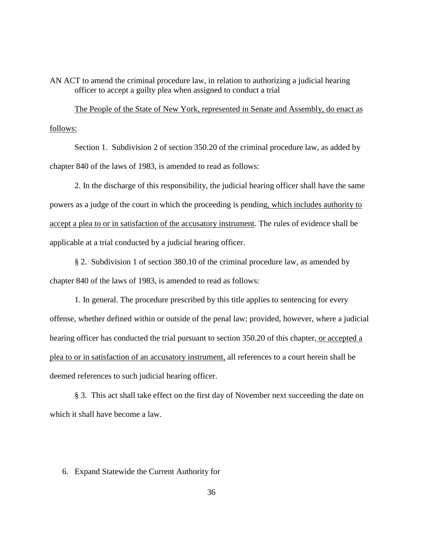AN ACT to amend the criminal procedure law, in relation to authorizing a judicial hearing officer to accept a guilty plea when assigned to conduct a trial

The People of the State of New York, represented in Senate and Assembly, do enact as follows:

Section 1. Subdivision 2 of section 350.20 of the criminal procedure law, as added by chapter 840 of the laws of 1983, is amended to read as follows:

2. In the discharge of this responsibility, the judicial hearing officer shall have the same powers as a judge of the court in which the proceeding is pending, which includes authority to accept a plea to or in satisfaction of the accusatory instrument. The rules of evidence shall be applicable at a trial conducted by a judicial hearing officer.

§ 2. Subdivision 1 of section 380.10 of the criminal procedure law, as amended by chapter 840 of the laws of 1983, is amended to read as follows:

1. In general. The procedure prescribed by this title applies to sentencing for every offense, whether defined within or outside of the penal law; provided, however, where a judicial hearing officer has conducted the trial pursuant to section 350.20 of this chapter, or accepted a plea to or in satisfaction of an accusatory instrument, all references to a court herein shall be deemed references to such judicial hearing officer.

§ 3. This act shall take effect on the first day of November next succeeding the date on which it shall have become a law.

## 6. Expand Statewide the Current Authority for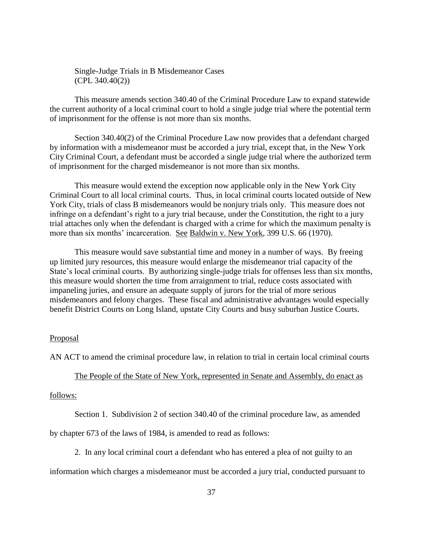Single-Judge Trials in B Misdemeanor Cases (CPL 340.40(2))

This measure amends section 340.40 of the Criminal Procedure Law to expand statewide the current authority of a local criminal court to hold a single judge trial where the potential term of imprisonment for the offense is not more than six months.

Section 340.40(2) of the Criminal Procedure Law now provides that a defendant charged by information with a misdemeanor must be accorded a jury trial, except that, in the New York City Criminal Court, a defendant must be accorded a single judge trial where the authorized term of imprisonment for the charged misdemeanor is not more than six months.

This measure would extend the exception now applicable only in the New York City Criminal Court to all local criminal courts. Thus, in local criminal courts located outside of New York City, trials of class B misdemeanors would be nonjury trials only. This measure does not infringe on a defendant's right to a jury trial because, under the Constitution, the right to a jury trial attaches only when the defendant is charged with a crime for which the maximum penalty is more than six months' incarceration. See Baldwin v. New York, 399 U.S. 66 (1970).

This measure would save substantial time and money in a number of ways. By freeing up limited jury resources, this measure would enlarge the misdemeanor trial capacity of the State's local criminal courts. By authorizing single-judge trials for offenses less than six months, this measure would shorten the time from arraignment to trial, reduce costs associated with impaneling juries, and ensure an adequate supply of jurors for the trial of more serious misdemeanors and felony charges. These fiscal and administrative advantages would especially benefit District Courts on Long Island, upstate City Courts and busy suburban Justice Courts.

### Proposal

AN ACT to amend the criminal procedure law, in relation to trial in certain local criminal courts

#### The People of the State of New York, represented in Senate and Assembly, do enact as

## follows:

Section 1. Subdivision 2 of section 340.40 of the criminal procedure law, as amended

by chapter 673 of the laws of 1984, is amended to read as follows:

2. In any local criminal court a defendant who has entered a plea of not guilty to an

information which charges a misdemeanor must be accorded a jury trial, conducted pursuant to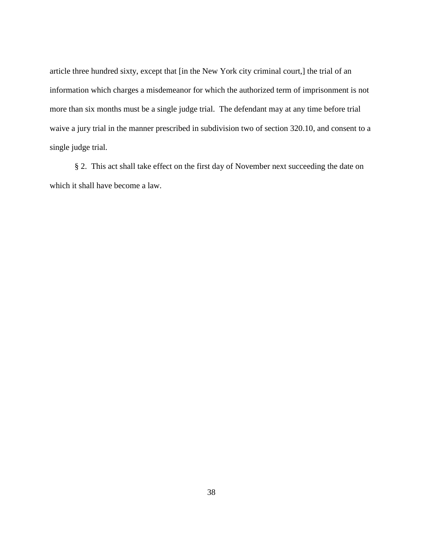article three hundred sixty, except that [in the New York city criminal court,] the trial of an information which charges a misdemeanor for which the authorized term of imprisonment is not more than six months must be a single judge trial. The defendant may at any time before trial waive a jury trial in the manner prescribed in subdivision two of section 320.10, and consent to a single judge trial.

§ 2. This act shall take effect on the first day of November next succeeding the date on which it shall have become a law.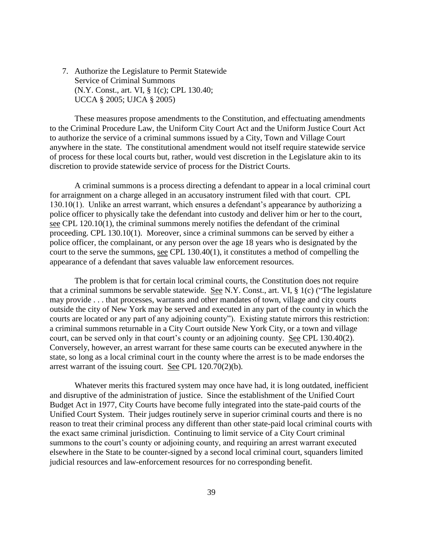7. Authorize the Legislature to Permit Statewide Service of Criminal Summons (N.Y. Const., art. VI, § 1(c); CPL 130.40; UCCA § 2005; UJCA § 2005)

These measures propose amendments to the Constitution, and effectuating amendments to the Criminal Procedure Law, the Uniform City Court Act and the Uniform Justice Court Act to authorize the service of a criminal summons issued by a City, Town and Village Court anywhere in the state. The constitutional amendment would not itself require statewide service of process for these local courts but, rather, would vest discretion in the Legislature akin to its discretion to provide statewide service of process for the District Courts.

A criminal summons is a process directing a defendant to appear in a local criminal court for arraignment on a charge alleged in an accusatory instrument filed with that court. CPL 130.10(1). Unlike an arrest warrant, which ensures a defendant's appearance by authorizing a police officer to physically take the defendant into custody and deliver him or her to the court, see CPL 120.10(1), the criminal summons merely notifies the defendant of the criminal proceeding. CPL 130.10(1). Moreover, since a criminal summons can be served by either a police officer, the complainant, or any person over the age 18 years who is designated by the court to the serve the summons, see CPL 130.40(1), it constitutes a method of compelling the appearance of a defendant that saves valuable law enforcement resources.

The problem is that for certain local criminal courts, the Constitution does not require that a criminal summons be servable statewide. See N.Y. Const., art. VI, § 1(c) ("The legislature may provide . . . that processes, warrants and other mandates of town, village and city courts outside the city of New York may be served and executed in any part of the county in which the courts are located or any part of any adjoining county"). Existing statute mirrors this restriction: a criminal summons returnable in a City Court outside New York City, or a town and village court, can be served only in that court's county or an adjoining county. See CPL 130.40(2). Conversely, however, an arrest warrant for these same courts can be executed anywhere in the state, so long as a local criminal court in the county where the arrest is to be made endorses the arrest warrant of the issuing court. See CPL 120.70(2)(b).

Whatever merits this fractured system may once have had, it is long outdated, inefficient and disruptive of the administration of justice. Since the establishment of the Unified Court Budget Act in 1977, City Courts have become fully integrated into the state-paid courts of the Unified Court System. Their judges routinely serve in superior criminal courts and there is no reason to treat their criminal process any different than other state-paid local criminal courts with the exact same criminal jurisdiction. Continuing to limit service of a City Court criminal summons to the court's county or adjoining county, and requiring an arrest warrant executed elsewhere in the State to be counter-signed by a second local criminal court, squanders limited judicial resources and law-enforcement resources for no corresponding benefit.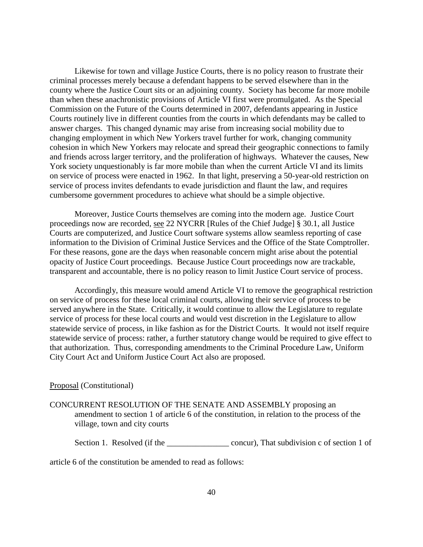Likewise for town and village Justice Courts, there is no policy reason to frustrate their criminal processes merely because a defendant happens to be served elsewhere than in the county where the Justice Court sits or an adjoining county. Society has become far more mobile than when these anachronistic provisions of Article VI first were promulgated. As the Special Commission on the Future of the Courts determined in 2007, defendants appearing in Justice Courts routinely live in different counties from the courts in which defendants may be called to answer charges. This changed dynamic may arise from increasing social mobility due to changing employment in which New Yorkers travel further for work, changing community cohesion in which New Yorkers may relocate and spread their geographic connections to family and friends across larger territory, and the proliferation of highways. Whatever the causes, New York society unquestionably is far more mobile than when the current Article VI and its limits on service of process were enacted in 1962. In that light, preserving a 50-year-old restriction on service of process invites defendants to evade jurisdiction and flaunt the law, and requires cumbersome government procedures to achieve what should be a simple objective.

Moreover, Justice Courts themselves are coming into the modern age. Justice Court proceedings now are recorded, see 22 NYCRR [Rules of the Chief Judge] § 30.1, all Justice Courts are computerized, and Justice Court software systems allow seamless reporting of case information to the Division of Criminal Justice Services and the Office of the State Comptroller. For these reasons, gone are the days when reasonable concern might arise about the potential opacity of Justice Court proceedings. Because Justice Court proceedings now are trackable, transparent and accountable, there is no policy reason to limit Justice Court service of process.

Accordingly, this measure would amend Article VI to remove the geographical restriction on service of process for these local criminal courts, allowing their service of process to be served anywhere in the State. Critically, it would continue to allow the Legislature to regulate service of process for these local courts and would vest discretion in the Legislature to allow statewide service of process, in like fashion as for the District Courts. It would not itself require statewide service of process: rather, a further statutory change would be required to give effect to that authorization. Thus, corresponding amendments to the Criminal Procedure Law, Uniform City Court Act and Uniform Justice Court Act also are proposed.

## Proposal (Constitutional)

## CONCURRENT RESOLUTION OF THE SENATE AND ASSEMBLY proposing an amendment to section 1 of article 6 of the constitution, in relation to the process of the village, town and city courts

Section 1. Resolved (if the \_\_\_\_\_\_\_\_\_\_\_\_\_\_\_\_\_\_\_ concur), That subdivision c of section 1 of

article 6 of the constitution be amended to read as follows: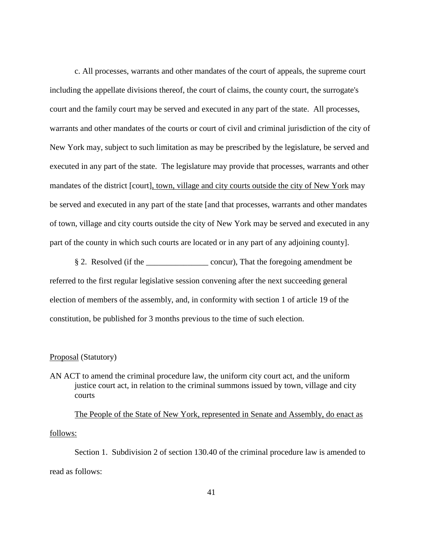c. All processes, warrants and other mandates of the court of appeals, the supreme court including the appellate divisions thereof, the court of claims, the county court, the surrogate's court and the family court may be served and executed in any part of the state. All processes, warrants and other mandates of the courts or court of civil and criminal jurisdiction of the city of New York may, subject to such limitation as may be prescribed by the legislature, be served and executed in any part of the state. The legislature may provide that processes, warrants and other mandates of the district [court], town, village and city courts outside the city of New York may be served and executed in any part of the state [and that processes, warrants and other mandates of town, village and city courts outside the city of New York may be served and executed in any part of the county in which such courts are located or in any part of any adjoining county].

§ 2. Resolved (if the \_\_\_\_\_\_\_\_\_\_\_\_\_\_\_ concur), That the foregoing amendment be referred to the first regular legislative session convening after the next succeeding general election of members of the assembly, and, in conformity with section 1 of article 19 of the constitution, be published for 3 months previous to the time of such election.

## Proposal (Statutory)

AN ACT to amend the criminal procedure law, the uniform city court act, and the uniform justice court act, in relation to the criminal summons issued by town, village and city courts

The People of the State of New York, represented in Senate and Assembly, do enact as follows:

Section 1. Subdivision 2 of section 130.40 of the criminal procedure law is amended to read as follows: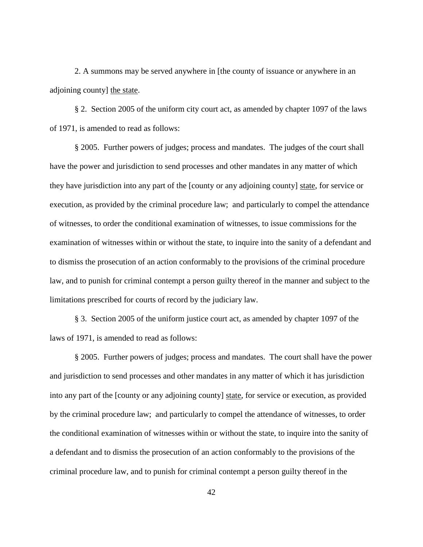2. A summons may be served anywhere in [the county of issuance or anywhere in an adjoining county] the state.

§ 2. Section 2005 of the uniform city court act, as amended by chapter 1097 of the laws of 1971, is amended to read as follows:

§ 2005. Further powers of judges; process and mandates. The judges of the court shall have the power and jurisdiction to send processes and other mandates in any matter of which they have jurisdiction into any part of the [county or any adjoining county] state, for service or execution, as provided by the criminal procedure law; and particularly to compel the attendance of witnesses, to order the conditional examination of witnesses, to issue commissions for the examination of witnesses within or without the state, to inquire into the sanity of a defendant and to dismiss the prosecution of an action conformably to the provisions of the criminal procedure law, and to punish for criminal contempt a person guilty thereof in the manner and subject to the limitations prescribed for courts of record by the judiciary law.

§ 3. Section 2005 of the uniform justice court act, as amended by chapter 1097 of the laws of 1971, is amended to read as follows:

§ 2005. Further powers of judges; process and mandates. The court shall have the power and jurisdiction to send processes and other mandates in any matter of which it has jurisdiction into any part of the [county or any adjoining county] state, for service or execution, as provided by the criminal procedure law; and particularly to compel the attendance of witnesses, to order the conditional examination of witnesses within or without the state, to inquire into the sanity of a defendant and to dismiss the prosecution of an action conformably to the provisions of the criminal procedure law, and to punish for criminal contempt a person guilty thereof in the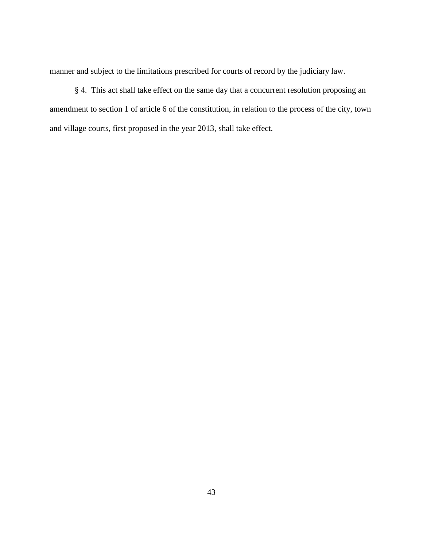manner and subject to the limitations prescribed for courts of record by the judiciary law.

§ 4. This act shall take effect on the same day that a concurrent resolution proposing an amendment to section 1 of article 6 of the constitution, in relation to the process of the city, town and village courts, first proposed in the year 2013, shall take effect.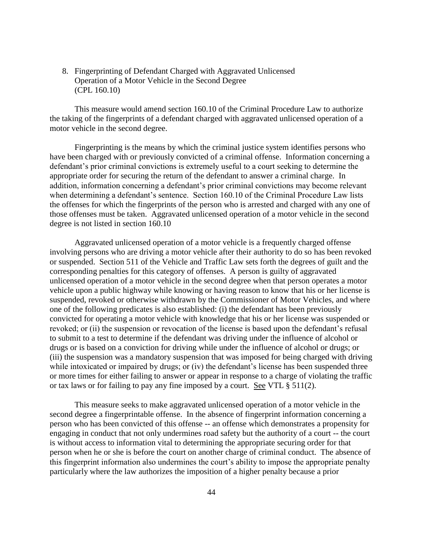8. Fingerprinting of Defendant Charged with Aggravated Unlicensed Operation of a Motor Vehicle in the Second Degree (CPL 160.10)

This measure would amend section 160.10 of the Criminal Procedure Law to authorize the taking of the fingerprints of a defendant charged with aggravated unlicensed operation of a motor vehicle in the second degree.

Fingerprinting is the means by which the criminal justice system identifies persons who have been charged with or previously convicted of a criminal offense. Information concerning a defendant's prior criminal convictions is extremely useful to a court seeking to determine the appropriate order for securing the return of the defendant to answer a criminal charge. In addition, information concerning a defendant's prior criminal convictions may become relevant when determining a defendant's sentence. Section 160.10 of the Criminal Procedure Law lists the offenses for which the fingerprints of the person who is arrested and charged with any one of those offenses must be taken. Aggravated unlicensed operation of a motor vehicle in the second degree is not listed in section 160.10

Aggravated unlicensed operation of a motor vehicle is a frequently charged offense involving persons who are driving a motor vehicle after their authority to do so has been revoked or suspended. Section 511 of the Vehicle and Traffic Law sets forth the degrees of guilt and the corresponding penalties for this category of offenses. A person is guilty of aggravated unlicensed operation of a motor vehicle in the second degree when that person operates a motor vehicle upon a public highway while knowing or having reason to know that his or her license is suspended, revoked or otherwise withdrawn by the Commissioner of Motor Vehicles, and where one of the following predicates is also established: (i) the defendant has been previously convicted for operating a motor vehicle with knowledge that his or her license was suspended or revoked; or (ii) the suspension or revocation of the license is based upon the defendant's refusal to submit to a test to determine if the defendant was driving under the influence of alcohol or drugs or is based on a conviction for driving while under the influence of alcohol or drugs; or (iii) the suspension was a mandatory suspension that was imposed for being charged with driving while intoxicated or impaired by drugs; or (iv) the defendant's license has been suspended three or more times for either failing to answer or appear in response to a charge of violating the traffic or tax laws or for failing to pay any fine imposed by a court. See VTL § 511(2).

This measure seeks to make aggravated unlicensed operation of a motor vehicle in the second degree a fingerprintable offense. In the absence of fingerprint information concerning a person who has been convicted of this offense -- an offense which demonstrates a propensity for engaging in conduct that not only undermines road safety but the authority of a court -- the court is without access to information vital to determining the appropriate securing order for that person when he or she is before the court on another charge of criminal conduct. The absence of this fingerprint information also undermines the court's ability to impose the appropriate penalty particularly where the law authorizes the imposition of a higher penalty because a prior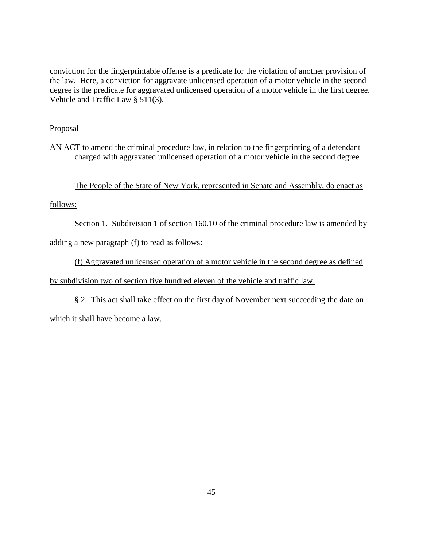conviction for the fingerprintable offense is a predicate for the violation of another provision of the law. Here, a conviction for aggravate unlicensed operation of a motor vehicle in the second degree is the predicate for aggravated unlicensed operation of a motor vehicle in the first degree. Vehicle and Traffic Law § 511(3).

## **Proposal**

AN ACT to amend the criminal procedure law, in relation to the fingerprinting of a defendant charged with aggravated unlicensed operation of a motor vehicle in the second degree

## The People of the State of New York, represented in Senate and Assembly, do enact as

### follows:

Section 1. Subdivision 1 of section 160.10 of the criminal procedure law is amended by

adding a new paragraph (f) to read as follows:

(f) Aggravated unlicensed operation of a motor vehicle in the second degree as defined

by subdivision two of section five hundred eleven of the vehicle and traffic law.

§ 2. This act shall take effect on the first day of November next succeeding the date on

which it shall have become a law.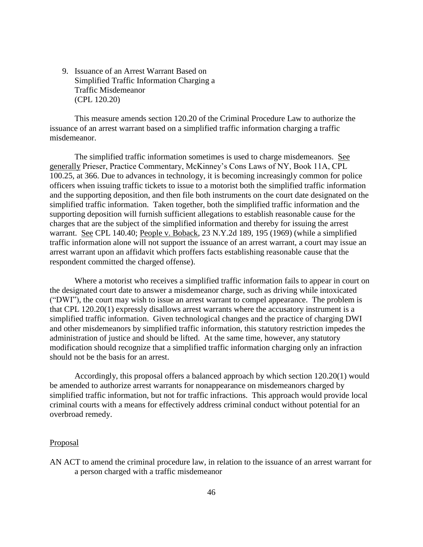9. Issuance of an Arrest Warrant Based on Simplified Traffic Information Charging a Traffic Misdemeanor (CPL 120.20)

This measure amends section 120.20 of the Criminal Procedure Law to authorize the issuance of an arrest warrant based on a simplified traffic information charging a traffic misdemeanor.

The simplified traffic information sometimes is used to charge misdemeanors. See generally Prieser, Practice Commentary, McKinney's Cons Laws of NY, Book 11A, CPL 100.25, at 366. Due to advances in technology, it is becoming increasingly common for police officers when issuing traffic tickets to issue to a motorist both the simplified traffic information and the supporting deposition, and then file both instruments on the court date designated on the simplified traffic information. Taken together, both the simplified traffic information and the supporting deposition will furnish sufficient allegations to establish reasonable cause for the charges that are the subject of the simplified information and thereby for issuing the arrest warrant. See CPL 140.40; People v. Boback, 23 N.Y.2d 189, 195 (1969) (while a simplified traffic information alone will not support the issuance of an arrest warrant, a court may issue an arrest warrant upon an affidavit which proffers facts establishing reasonable cause that the respondent committed the charged offense).

Where a motorist who receives a simplified traffic information fails to appear in court on the designated court date to answer a misdemeanor charge, such as driving while intoxicated ("DWI"), the court may wish to issue an arrest warrant to compel appearance. The problem is that CPL 120.20(1) expressly disallows arrest warrants where the accusatory instrument is a simplified traffic information. Given technological changes and the practice of charging DWI and other misdemeanors by simplified traffic information, this statutory restriction impedes the administration of justice and should be lifted. At the same time, however, any statutory modification should recognize that a simplified traffic information charging only an infraction should not be the basis for an arrest.

Accordingly, this proposal offers a balanced approach by which section 120.20(1) would be amended to authorize arrest warrants for nonappearance on misdemeanors charged by simplified traffic information, but not for traffic infractions. This approach would provide local criminal courts with a means for effectively address criminal conduct without potential for an overbroad remedy.

#### Proposal

AN ACT to amend the criminal procedure law, in relation to the issuance of an arrest warrant for a person charged with a traffic misdemeanor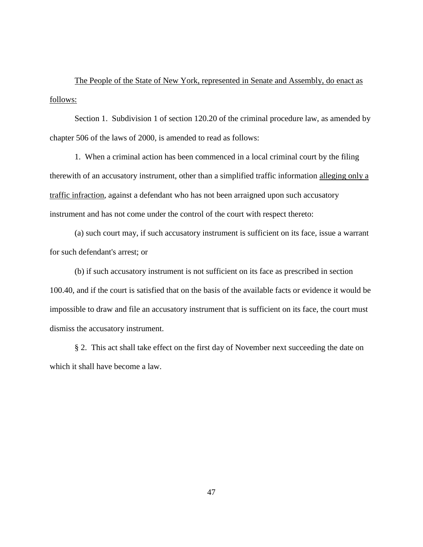The People of the State of New York, represented in Senate and Assembly, do enact as follows:

Section 1. Subdivision 1 of section 120.20 of the criminal procedure law, as amended by chapter 506 of the laws of 2000, is amended to read as follows:

1. When a criminal action has been commenced in a local criminal court by the filing therewith of an accusatory instrument, other than a simplified traffic information alleging only a traffic infraction, against a defendant who has not been arraigned upon such accusatory instrument and has not come under the control of the court with respect thereto:

(a) such court may, if such accusatory instrument is sufficient on its face, issue a warrant for such defendant's arrest; or

(b) if such accusatory instrument is not sufficient on its face as prescribed in section 100.40, and if the court is satisfied that on the basis of the available facts or evidence it would be impossible to draw and file an accusatory instrument that is sufficient on its face, the court must dismiss the accusatory instrument.

§ 2. This act shall take effect on the first day of November next succeeding the date on which it shall have become a law.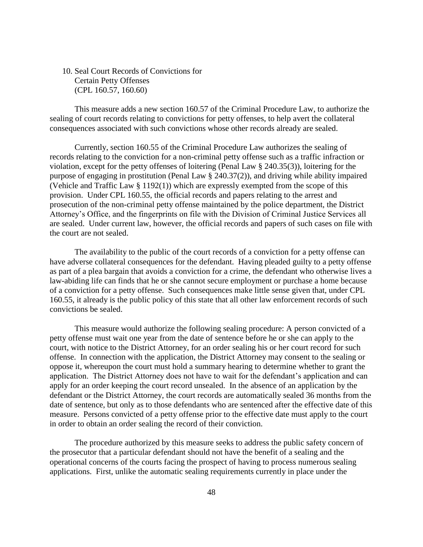10. Seal Court Records of Convictions for Certain Petty Offenses (CPL 160.57, 160.60)

This measure adds a new section 160.57 of the Criminal Procedure Law, to authorize the sealing of court records relating to convictions for petty offenses, to help avert the collateral consequences associated with such convictions whose other records already are sealed.

Currently, section 160.55 of the Criminal Procedure Law authorizes the sealing of records relating to the conviction for a non-criminal petty offense such as a traffic infraction or violation, except for the petty offenses of loitering (Penal Law § 240.35(3)), loitering for the purpose of engaging in prostitution (Penal Law § 240.37(2)), and driving while ability impaired (Vehicle and Traffic Law § 1192(1)) which are expressly exempted from the scope of this provision. Under CPL 160.55, the official records and papers relating to the arrest and prosecution of the non-criminal petty offense maintained by the police department, the District Attorney's Office, and the fingerprints on file with the Division of Criminal Justice Services all are sealed. Under current law, however, the official records and papers of such cases on file with the court are not sealed.

The availability to the public of the court records of a conviction for a petty offense can have adverse collateral consequences for the defendant. Having pleaded guilty to a petty offense as part of a plea bargain that avoids a conviction for a crime, the defendant who otherwise lives a law-abiding life can finds that he or she cannot secure employment or purchase a home because of a conviction for a petty offense. Such consequences make little sense given that, under CPL 160.55, it already is the public policy of this state that all other law enforcement records of such convictions be sealed.

This measure would authorize the following sealing procedure: A person convicted of a petty offense must wait one year from the date of sentence before he or she can apply to the court, with notice to the District Attorney, for an order sealing his or her court record for such offense. In connection with the application, the District Attorney may consent to the sealing or oppose it, whereupon the court must hold a summary hearing to determine whether to grant the application. The District Attorney does not have to wait for the defendant's application and can apply for an order keeping the court record unsealed. In the absence of an application by the defendant or the District Attorney, the court records are automatically sealed 36 months from the date of sentence, but only as to those defendants who are sentenced after the effective date of this measure. Persons convicted of a petty offense prior to the effective date must apply to the court in order to obtain an order sealing the record of their conviction.

The procedure authorized by this measure seeks to address the public safety concern of the prosecutor that a particular defendant should not have the benefit of a sealing and the operational concerns of the courts facing the prospect of having to process numerous sealing applications. First, unlike the automatic sealing requirements currently in place under the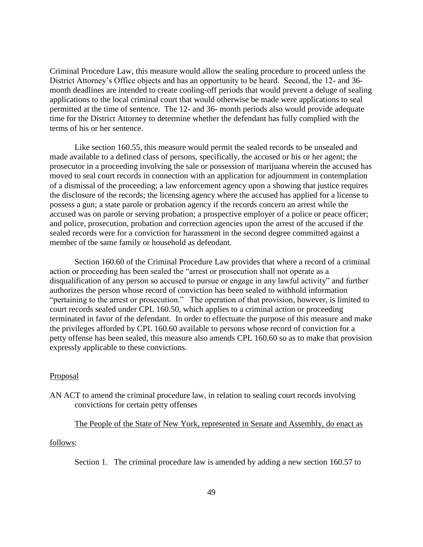Criminal Procedure Law, this measure would allow the sealing procedure to proceed unless the District Attorney's Office objects and has an opportunity to be heard. Second, the 12- and 36 month deadlines are intended to create cooling-off periods that would prevent a deluge of sealing applications to the local criminal court that would otherwise be made were applications to seal permitted at the time of sentence. The 12- and 36- month periods also would provide adequate time for the District Attorney to determine whether the defendant has fully complied with the terms of his or her sentence.

Like section 160.55, this measure would permit the sealed records to be unsealed and made available to a defined class of persons, specifically, the accused or his or her agent; the prosecutor in a proceeding involving the sale or possession of marijuana wherein the accused has moved to seal court records in connection with an application for adjournment in contemplation of a dismissal of the proceeding; a law enforcement agency upon a showing that justice requires the disclosure of the records; the licensing agency where the accused has applied for a license to possess a gun; a state parole or probation agency if the records concern an arrest while the accused was on parole or serving probation; a prospective employer of a police or peace officer; and police, prosecution, probation and correction agencies upon the arrest of the accused if the sealed records were for a conviction for harassment in the second degree committed against a member of the same family or household as defendant.

Section 160.60 of the Criminal Procedure Law provides that where a record of a criminal action or proceeding has been sealed the "arrest or prosecution shall not operate as a disqualification of any person so accused to pursue or engage in any lawful activity" and further authorizes the person whose record of conviction has been sealed to withhold information "pertaining to the arrest or prosecution." The operation of that provision, however, is limited to court records sealed under CPL 160.50, which applies to a criminal action or proceeding terminated in favor of the defendant. In order to effectuate the purpose of this measure and make the privileges afforded by CPL 160.60 available to persons whose record of conviction for a petty offense has been sealed, this measure also amends CPL 160.60 so as to make that provision expressly applicable to these convictions.

## Proposal

AN ACT to amend the criminal procedure law, in relation to sealing court records involving convictions for certain petty offenses

The People of the State of New York, represented in Senate and Assembly, do enact as

#### follows:

Section 1. The criminal procedure law is amended by adding a new section 160.57 to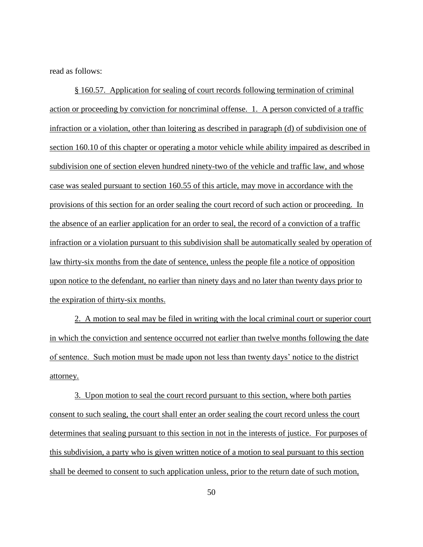read as follows:

§ 160.57. Application for sealing of court records following termination of criminal action or proceeding by conviction for noncriminal offense. 1. A person convicted of a traffic infraction or a violation, other than loitering as described in paragraph (d) of subdivision one of section 160.10 of this chapter or operating a motor vehicle while ability impaired as described in subdivision one of section eleven hundred ninety-two of the vehicle and traffic law, and whose case was sealed pursuant to section 160.55 of this article, may move in accordance with the provisions of this section for an order sealing the court record of such action or proceeding. In the absence of an earlier application for an order to seal, the record of a conviction of a traffic infraction or a violation pursuant to this subdivision shall be automatically sealed by operation of law thirty-six months from the date of sentence, unless the people file a notice of opposition upon notice to the defendant, no earlier than ninety days and no later than twenty days prior to the expiration of thirty-six months.

2. A motion to seal may be filed in writing with the local criminal court or superior court in which the conviction and sentence occurred not earlier than twelve months following the date of sentence. Such motion must be made upon not less than twenty days' notice to the district attorney.

3. Upon motion to seal the court record pursuant to this section, where both parties consent to such sealing, the court shall enter an order sealing the court record unless the court determines that sealing pursuant to this section in not in the interests of justice. For purposes of this subdivision, a party who is given written notice of a motion to seal pursuant to this section shall be deemed to consent to such application unless, prior to the return date of such motion,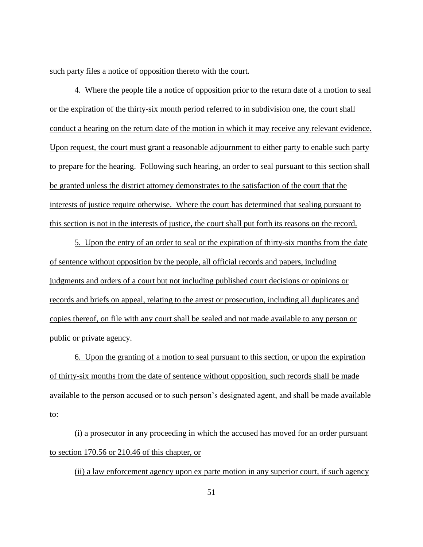such party files a notice of opposition thereto with the court.

4. Where the people file a notice of opposition prior to the return date of a motion to seal or the expiration of the thirty-six month period referred to in subdivision one, the court shall conduct a hearing on the return date of the motion in which it may receive any relevant evidence. Upon request, the court must grant a reasonable adjournment to either party to enable such party to prepare for the hearing. Following such hearing, an order to seal pursuant to this section shall be granted unless the district attorney demonstrates to the satisfaction of the court that the interests of justice require otherwise. Where the court has determined that sealing pursuant to this section is not in the interests of justice, the court shall put forth its reasons on the record.

5. Upon the entry of an order to seal or the expiration of thirty-six months from the date of sentence without opposition by the people, all official records and papers, including judgments and orders of a court but not including published court decisions or opinions or records and briefs on appeal, relating to the arrest or prosecution, including all duplicates and copies thereof, on file with any court shall be sealed and not made available to any person or public or private agency.

6. Upon the granting of a motion to seal pursuant to this section, or upon the expiration of thirty-six months from the date of sentence without opposition, such records shall be made available to the person accused or to such person's designated agent, and shall be made available to:

(i) a prosecutor in any proceeding in which the accused has moved for an order pursuant to section 170.56 or 210.46 of this chapter, or

(ii) a law enforcement agency upon ex parte motion in any superior court, if such agency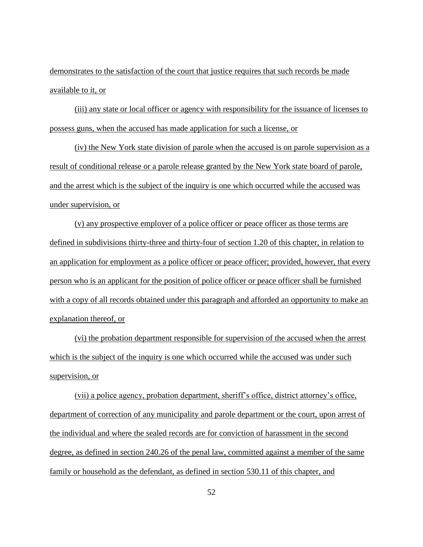demonstrates to the satisfaction of the court that justice requires that such records be made available to it, or

(iii) any state or local officer or agency with responsibility for the issuance of licenses to possess guns, when the accused has made application for such a license, or

(iv) the New York state division of parole when the accused is on parole supervision as a result of conditional release or a parole release granted by the New York state board of parole, and the arrest which is the subject of the inquiry is one which occurred while the accused was under supervision, or

(v) any prospective employer of a police officer or peace officer as those terms are defined in subdivisions thirty-three and thirty-four of section 1.20 of this chapter, in relation to an application for employment as a police officer or peace officer; provided, however, that every person who is an applicant for the position of police officer or peace officer shall be furnished with a copy of all records obtained under this paragraph and afforded an opportunity to make an explanation thereof, or

(vi) the probation department responsible for supervision of the accused when the arrest which is the subject of the inquiry is one which occurred while the accused was under such supervision, or

(vii) a police agency, probation department, sheriff's office, district attorney's office, department of correction of any municipality and parole department or the court, upon arrest of the individual and where the sealed records are for conviction of harassment in the second degree, as defined in section 240.26 of the penal law, committed against a member of the same family or household as the defendant, as defined in section 530.11 of this chapter, and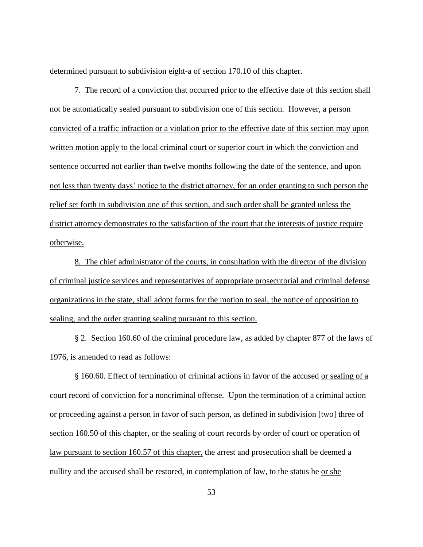determined pursuant to subdivision eight-a of section 170.10 of this chapter.

7. The record of a conviction that occurred prior to the effective date of this section shall not be automatically sealed pursuant to subdivision one of this section. However, a person convicted of a traffic infraction or a violation prior to the effective date of this section may upon written motion apply to the local criminal court or superior court in which the conviction and sentence occurred not earlier than twelve months following the date of the sentence, and upon not less than twenty days' notice to the district attorney, for an order granting to such person the relief set forth in subdivision one of this section, and such order shall be granted unless the district attorney demonstrates to the satisfaction of the court that the interests of justice require otherwise.

8. The chief administrator of the courts, in consultation with the director of the division of criminal justice services and representatives of appropriate prosecutorial and criminal defense organizations in the state, shall adopt forms for the motion to seal, the notice of opposition to sealing, and the order granting sealing pursuant to this section.

§ 2. Section 160.60 of the criminal procedure law, as added by chapter 877 of the laws of 1976, is amended to read as follows:

§ 160.60. Effect of termination of criminal actions in favor of the accused or sealing of a court record of conviction for a noncriminal offense. Upon the termination of a criminal action or proceeding against a person in favor of such person, as defined in subdivision [two] three of section 160.50 of this chapter, or the sealing of court records by order of court or operation of law pursuant to section 160.57 of this chapter, the arrest and prosecution shall be deemed a nullity and the accused shall be restored, in contemplation of law, to the status he or she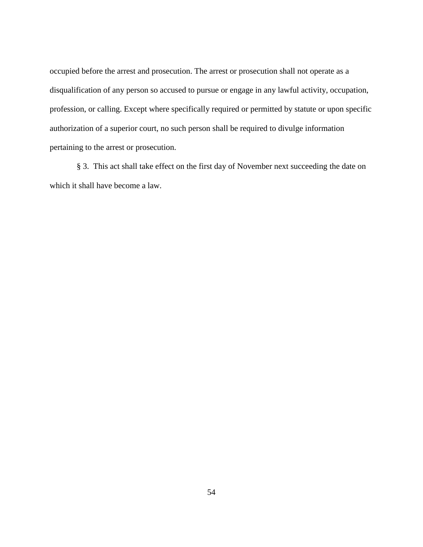occupied before the arrest and prosecution. The arrest or prosecution shall not operate as a disqualification of any person so accused to pursue or engage in any lawful activity, occupation, profession, or calling. Except where specifically required or permitted by statute or upon specific authorization of a superior court, no such person shall be required to divulge information pertaining to the arrest or prosecution.

§ 3. This act shall take effect on the first day of November next succeeding the date on which it shall have become a law.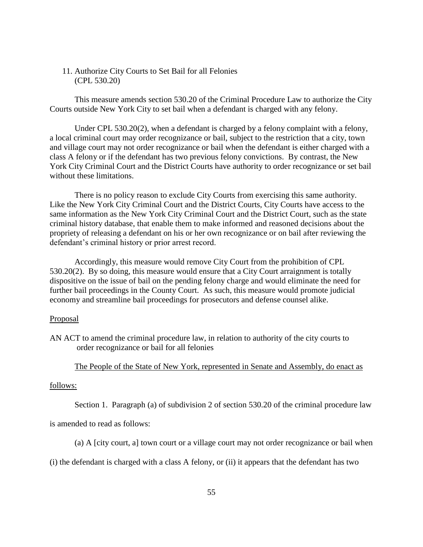## 11. Authorize City Courts to Set Bail for all Felonies (CPL 530.20)

This measure amends section 530.20 of the Criminal Procedure Law to authorize the City Courts outside New York City to set bail when a defendant is charged with any felony.

Under CPL 530.20(2), when a defendant is charged by a felony complaint with a felony, a local criminal court may order recognizance or bail, subject to the restriction that a city, town and village court may not order recognizance or bail when the defendant is either charged with a class A felony or if the defendant has two previous felony convictions. By contrast, the New York City Criminal Court and the District Courts have authority to order recognizance or set bail without these limitations.

There is no policy reason to exclude City Courts from exercising this same authority. Like the New York City Criminal Court and the District Courts, City Courts have access to the same information as the New York City Criminal Court and the District Court, such as the state criminal history database, that enable them to make informed and reasoned decisions about the propriety of releasing a defendant on his or her own recognizance or on bail after reviewing the defendant's criminal history or prior arrest record.

Accordingly, this measure would remove City Court from the prohibition of CPL 530.20(2). By so doing, this measure would ensure that a City Court arraignment is totally dispositive on the issue of bail on the pending felony charge and would eliminate the need for further bail proceedings in the County Court. As such, this measure would promote judicial economy and streamline bail proceedings for prosecutors and defense counsel alike.

#### **Proposal**

AN ACT to amend the criminal procedure law, in relation to authority of the city courts to order recognizance or bail for all felonies

#### The People of the State of New York, represented in Senate and Assembly, do enact as

## follows:

Section 1. Paragraph (a) of subdivision 2 of section 530.20 of the criminal procedure law

is amended to read as follows:

(a) A [city court, a] town court or a village court may not order recognizance or bail when

(i) the defendant is charged with a class A felony, or (ii) it appears that the defendant has two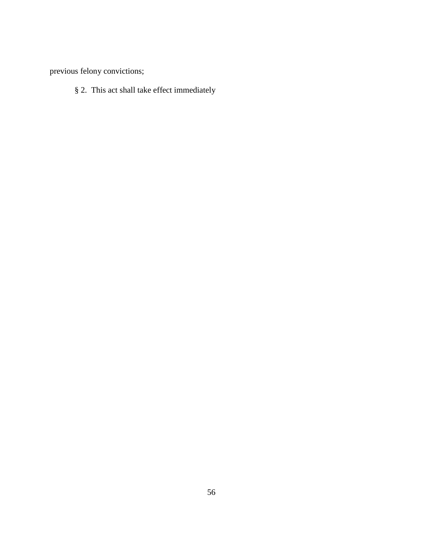previous felony convictions;

§ 2. This act shall take effect immediately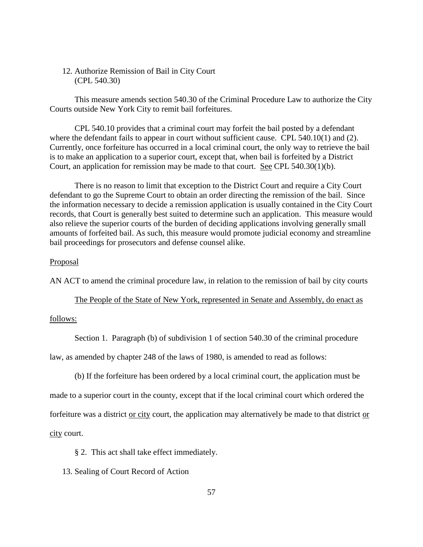## 12. Authorize Remission of Bail in City Court (CPL 540.30)

This measure amends section 540.30 of the Criminal Procedure Law to authorize the City Courts outside New York City to remit bail forfeitures.

CPL 540.10 provides that a criminal court may forfeit the bail posted by a defendant where the defendant fails to appear in court without sufficient cause. CPL 540.10(1) and (2). Currently, once forfeiture has occurred in a local criminal court, the only way to retrieve the bail is to make an application to a superior court, except that, when bail is forfeited by a District Court, an application for remission may be made to that court. See CPL 540.30(1)(b).

There is no reason to limit that exception to the District Court and require a City Court defendant to go the Supreme Court to obtain an order directing the remission of the bail. Since the information necessary to decide a remission application is usually contained in the City Court records, that Court is generally best suited to determine such an application. This measure would also relieve the superior courts of the burden of deciding applications involving generally small amounts of forfeited bail. As such, this measure would promote judicial economy and streamline bail proceedings for prosecutors and defense counsel alike.

### Proposal

AN ACT to amend the criminal procedure law, in relation to the remission of bail by city courts

The People of the State of New York, represented in Senate and Assembly, do enact as

#### follows:

Section 1. Paragraph (b) of subdivision 1 of section 540.30 of the criminal procedure

law, as amended by chapter 248 of the laws of 1980, is amended to read as follows:

(b) If the forfeiture has been ordered by a local criminal court, the application must be

made to a superior court in the county, except that if the local criminal court which ordered the

forfeiture was a district or city court, the application may alternatively be made to that district or

city court.

- § 2. This act shall take effect immediately.
- 13. Sealing of Court Record of Action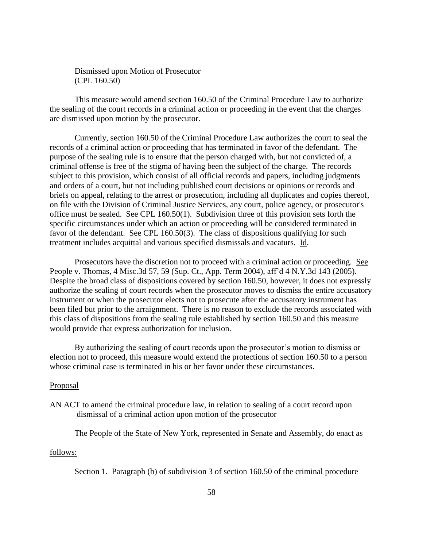Dismissed upon Motion of Prosecutor (CPL 160.50)

This measure would amend section 160.50 of the Criminal Procedure Law to authorize the sealing of the court records in a criminal action or proceeding in the event that the charges are dismissed upon motion by the prosecutor.

Currently, section 160.50 of the Criminal Procedure Law authorizes the court to seal the records of a criminal action or proceeding that has terminated in favor of the defendant. The purpose of the sealing rule is to ensure that the person charged with, but not convicted of, a criminal offense is free of the stigma of having been the subject of the charge. The records subject to this provision, which consist of all official records and papers, including judgments and orders of a court, but not including published court decisions or opinions or records and briefs on appeal, relating to the arrest or prosecution, including all duplicates and copies thereof, on file with the Division of Criminal Justice Services, any court, police agency, or prosecutor's office must be sealed. See CPL 160.50(1). Subdivision three of this provision sets forth the specific circumstances under which an action or proceeding will be considered terminated in favor of the defendant. See CPL 160.50(3). The class of dispositions qualifying for such treatment includes acquittal and various specified dismissals and vacaturs. Id.

Prosecutors have the discretion not to proceed with a criminal action or proceeding. See People v. Thomas, 4 Misc.3d 57, 59 (Sup. Ct., App. Term 2004), aff'd 4 N.Y.3d 143 (2005). Despite the broad class of dispositions covered by section 160.50, however, it does not expressly authorize the sealing of court records when the prosecutor moves to dismiss the entire accusatory instrument or when the prosecutor elects not to prosecute after the accusatory instrument has been filed but prior to the arraignment. There is no reason to exclude the records associated with this class of dispositions from the sealing rule established by section 160.50 and this measure would provide that express authorization for inclusion.

By authorizing the sealing of court records upon the prosecutor's motion to dismiss or election not to proceed, this measure would extend the protections of section 160.50 to a person whose criminal case is terminated in his or her favor under these circumstances.

#### Proposal

AN ACT to amend the criminal procedure law, in relation to sealing of a court record upon dismissal of a criminal action upon motion of the prosecutor

## The People of the State of New York, represented in Senate and Assembly, do enact as

## follows:

Section 1. Paragraph (b) of subdivision 3 of section 160.50 of the criminal procedure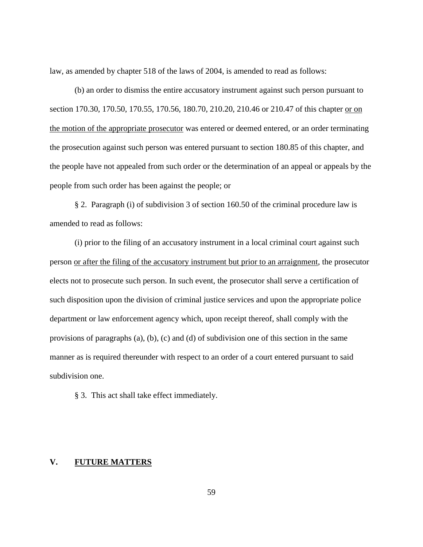law, as amended by chapter 518 of the laws of 2004, is amended to read as follows:

(b) an order to dismiss the entire accusatory instrument against such person pursuant to section 170.30, 170.50, 170.55, 170.56, 180.70, 210.20, 210.46 or 210.47 of this chapter <u>or on</u> the motion of the appropriate prosecutor was entered or deemed entered, or an order terminating the prosecution against such person was entered pursuant to section 180.85 of this chapter, and the people have not appealed from such order or the determination of an appeal or appeals by the people from such order has been against the people; or

§ 2. Paragraph (i) of subdivision 3 of section 160.50 of the criminal procedure law is amended to read as follows:

(i) prior to the filing of an accusatory instrument in a local criminal court against such person or after the filing of the accusatory instrument but prior to an arraignment, the prosecutor elects not to prosecute such person. In such event, the prosecutor shall serve a certification of such disposition upon the division of criminal justice services and upon the appropriate police department or law enforcement agency which, upon receipt thereof, shall comply with the provisions of paragraphs (a), (b), (c) and (d) of subdivision one of this section in the same manner as is required thereunder with respect to an order of a court entered pursuant to said subdivision one.

§ 3. This act shall take effect immediately.

## **V. FUTURE MATTERS**